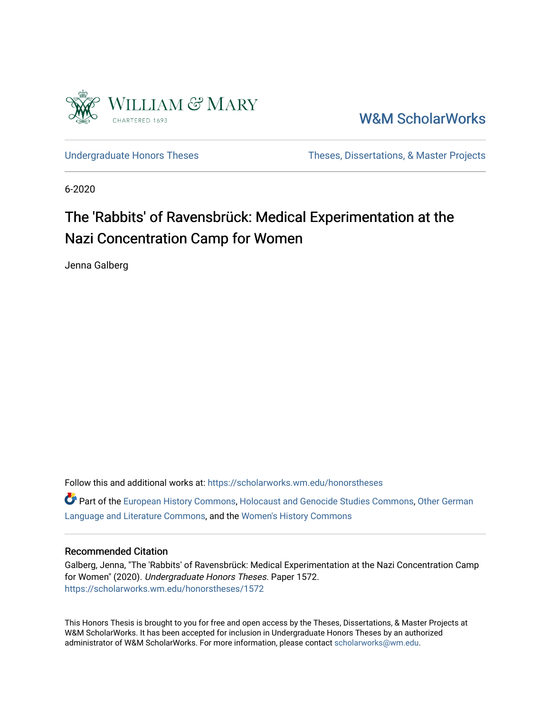

[W&M ScholarWorks](https://scholarworks.wm.edu/) 

[Undergraduate Honors Theses](https://scholarworks.wm.edu/honorstheses) Theses Theses, Dissertations, & Master Projects

6-2020

## The 'Rabbits' of Ravensbrück: Medical Experimentation at the Nazi Concentration Camp for Women

Jenna Galberg

Follow this and additional works at: [https://scholarworks.wm.edu/honorstheses](https://scholarworks.wm.edu/honorstheses?utm_source=scholarworks.wm.edu%2Fhonorstheses%2F1572&utm_medium=PDF&utm_campaign=PDFCoverPages) 

Part of the [European History Commons](http://network.bepress.com/hgg/discipline/492?utm_source=scholarworks.wm.edu%2Fhonorstheses%2F1572&utm_medium=PDF&utm_campaign=PDFCoverPages), [Holocaust and Genocide Studies Commons,](http://network.bepress.com/hgg/discipline/1413?utm_source=scholarworks.wm.edu%2Fhonorstheses%2F1572&utm_medium=PDF&utm_campaign=PDFCoverPages) [Other German](http://network.bepress.com/hgg/discipline/470?utm_source=scholarworks.wm.edu%2Fhonorstheses%2F1572&utm_medium=PDF&utm_campaign=PDFCoverPages) [Language and Literature Commons](http://network.bepress.com/hgg/discipline/470?utm_source=scholarworks.wm.edu%2Fhonorstheses%2F1572&utm_medium=PDF&utm_campaign=PDFCoverPages), and the [Women's History Commons](http://network.bepress.com/hgg/discipline/507?utm_source=scholarworks.wm.edu%2Fhonorstheses%2F1572&utm_medium=PDF&utm_campaign=PDFCoverPages)

#### Recommended Citation

Galberg, Jenna, "The 'Rabbits' of Ravensbrück: Medical Experimentation at the Nazi Concentration Camp for Women" (2020). Undergraduate Honors Theses. Paper 1572. [https://scholarworks.wm.edu/honorstheses/1572](https://scholarworks.wm.edu/honorstheses/1572?utm_source=scholarworks.wm.edu%2Fhonorstheses%2F1572&utm_medium=PDF&utm_campaign=PDFCoverPages)

This Honors Thesis is brought to you for free and open access by the Theses, Dissertations, & Master Projects at W&M ScholarWorks. It has been accepted for inclusion in Undergraduate Honors Theses by an authorized administrator of W&M ScholarWorks. For more information, please contact [scholarworks@wm.edu.](mailto:scholarworks@wm.edu)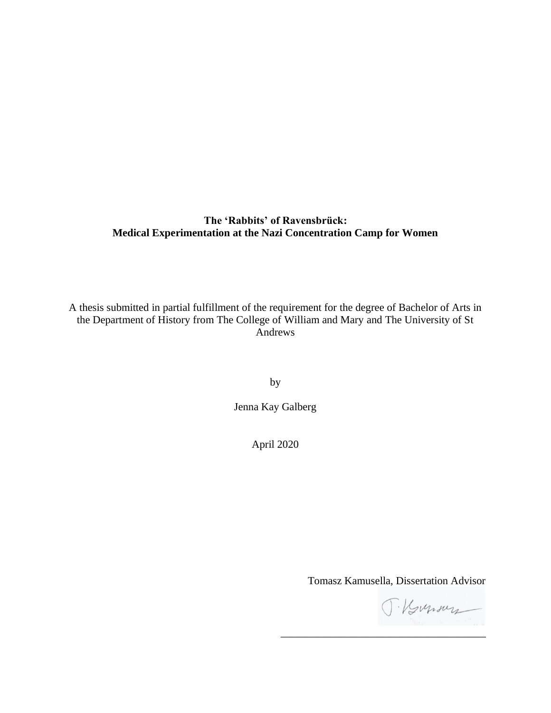#### **The 'Rabbits' of Ravensbrück: Medical Experimentation at the Nazi Concentration Camp for Women**

A thesis submitted in partial fulfillment of the requirement for the degree of Bachelor of Arts in the Department of History from The College of William and Mary and The University of St Andrews

by

Jenna Kay Galberg

April 2020

Tomasz Kamusella, Dissertation Advisor

\_\_\_\_\_\_\_\_\_\_\_\_\_\_\_\_\_\_\_\_\_\_\_\_\_\_\_\_\_\_\_\_\_\_\_\_\_\_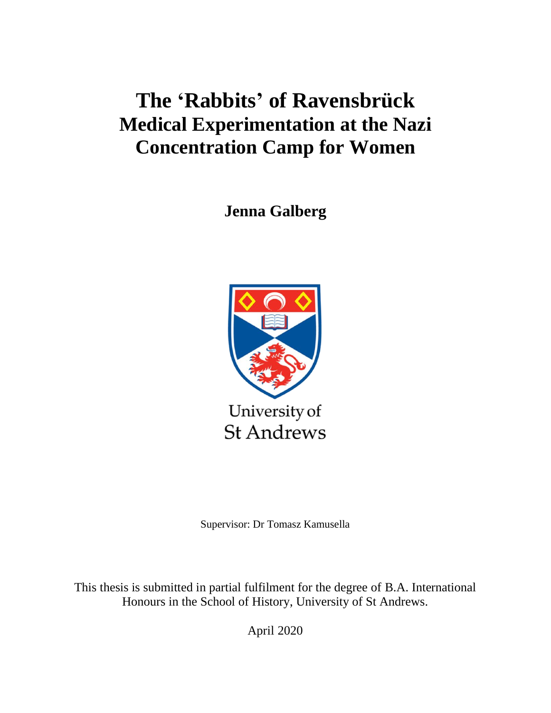# **The 'Rabbits' of Ravensbrück Medical Experimentation at the Nazi Concentration Camp for Women**

**Jenna Galberg**



Supervisor: Dr Tomasz Kamusella

This thesis is submitted in partial fulfilment for the degree of B.A. International Honours in the School of History, University of St Andrews.

April 2020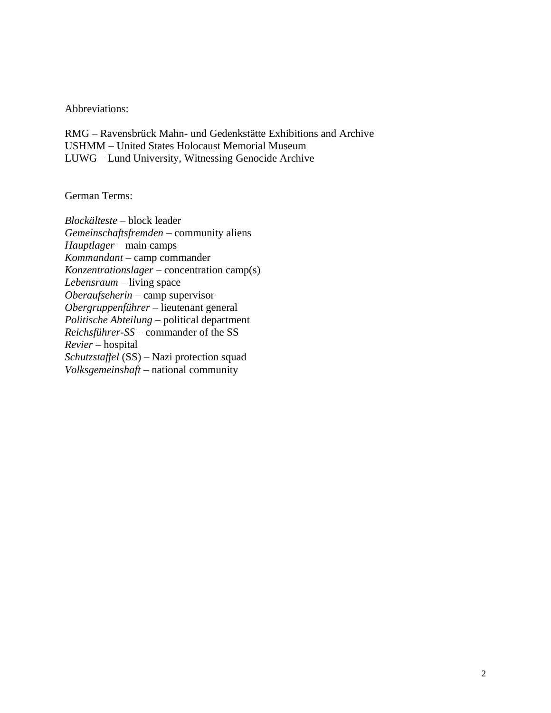Abbreviations:

RMG – Ravensbrück Mahn- und Gedenkstätte Exhibitions and Archive USHMM – United States Holocaust Memorial Museum LUWG – Lund University, Witnessing Genocide Archive

German Terms:

*Blockälteste –* block leader *Gemeinschaftsfremden* – community aliens *Hauptlager* – main camps *Kommandant* – camp commander *Konzentrationslager –* concentration camp(s) *Lebensraum* – living space *Oberaufseherin* – camp supervisor *Obergruppenführer* – lieutenant general *Politische Abteilung* – political department *Reichsführer-SS –* commander of the SS *Revier* – hospital *Schutzstaffel* (SS) – Nazi protection squad *Volksgemeinshaft* – national community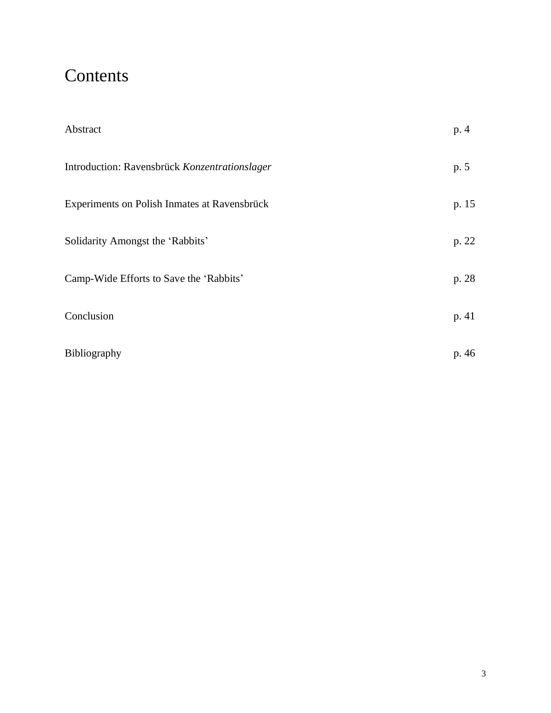## **Contents**

| Abstract                                      | p. 4  |
|-----------------------------------------------|-------|
| Introduction: Ravensbrück Konzentrationslager | p. 5  |
| Experiments on Polish Inmates at Ravensbrück  | p. 15 |
| Solidarity Amongst the 'Rabbits'              | p. 22 |
| Camp-Wide Efforts to Save the 'Rabbits'       | p. 28 |
| Conclusion                                    | p. 41 |
| Bibliography                                  | p. 46 |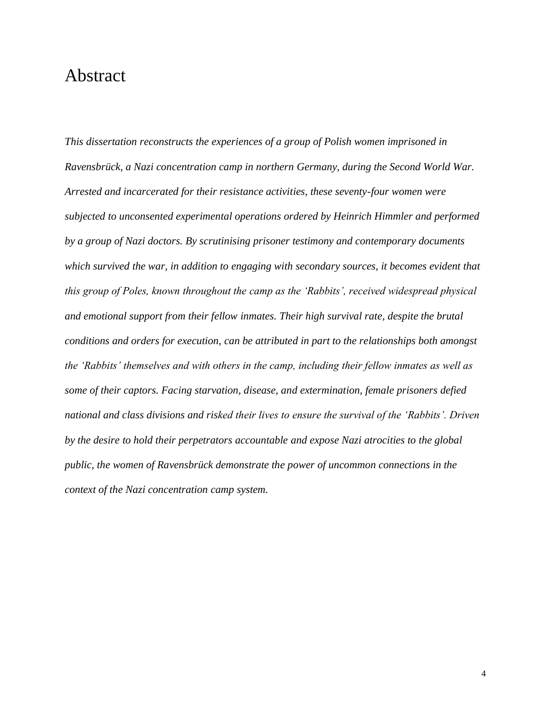### Abstract

*This dissertation reconstructs the experiences of a group of Polish women imprisoned in Ravensbrück, a Nazi concentration camp in northern Germany, during the Second World War. Arrested and incarcerated for their resistance activities, these seventy-four women were subjected to unconsented experimental operations ordered by Heinrich Himmler and performed by a group of Nazi doctors. By scrutinising prisoner testimony and contemporary documents which survived the war, in addition to engaging with secondary sources, it becomes evident that this group of Poles, known throughout the camp as the 'Rabbits', received widespread physical and emotional support from their fellow inmates. Their high survival rate, despite the brutal conditions and orders for execution, can be attributed in part to the relationships both amongst the 'Rabbits' themselves and with others in the camp, including their fellow inmates as well as some of their captors. Facing starvation, disease, and extermination, female prisoners defied national and class divisions and risked their lives to ensure the survival of the 'Rabbits'. Driven by the desire to hold their perpetrators accountable and expose Nazi atrocities to the global public, the women of Ravensbrück demonstrate the power of uncommon connections in the context of the Nazi concentration camp system.*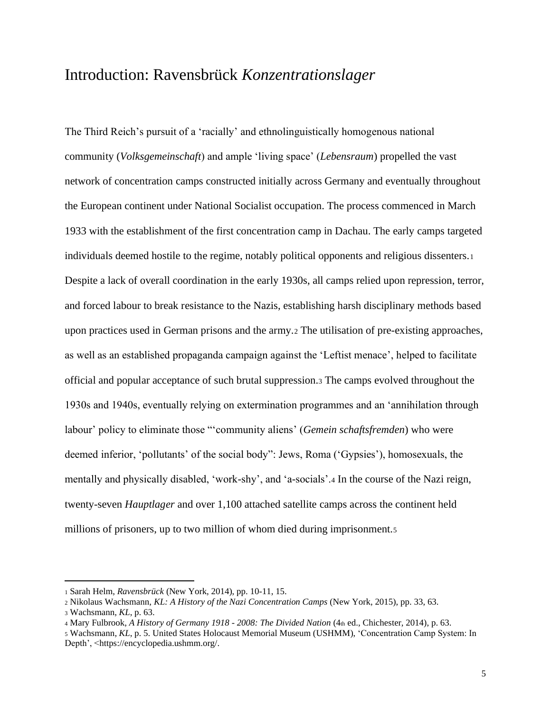### Introduction: Ravensbrück *Konzentrationslager*

The Third Reich's pursuit of a 'racially' and ethnolinguistically homogenous national community (*Volksgemeinschaft*) and ample 'living space' (*Lebensraum*) propelled the vast network of concentration camps constructed initially across Germany and eventually throughout the European continent under National Socialist occupation. The process commenced in March 1933 with the establishment of the first concentration camp in Dachau. The early camps targeted individuals deemed hostile to the regime, notably political opponents and religious dissenters.<sup>1</sup> Despite a lack of overall coordination in the early 1930s, all camps relied upon repression, terror, and forced labour to break resistance to the Nazis, establishing harsh disciplinary methods based upon practices used in German prisons and the army.<sup>2</sup> The utilisation of pre-existing approaches, as well as an established propaganda campaign against the 'Leftist menace', helped to facilitate official and popular acceptance of such brutal suppression.<sup>3</sup> The camps evolved throughout the 1930s and 1940s, eventually relying on extermination programmes and an 'annihilation through labour' policy to eliminate those "'community aliens' (*Gemein schaftsfremden*) who were deemed inferior, 'pollutants' of the social body": Jews, Roma ('Gypsies'), homosexuals, the mentally and physically disabled, 'work-shy', and 'a-socials'.<sup>4</sup> In the course of the Nazi reign, twenty-seven *Hauptlager* and over 1,100 attached satellite camps across the continent held millions of prisoners, up to two million of whom died during imprisonment.<sup>5</sup>

<sup>1</sup> Sarah Helm, *Ravensbrück* (New York, 2014), pp. 10-11, 15.

<sup>2</sup> Nikolaus Wachsmann, *KL: A History of the Nazi Concentration Camps* (New York, 2015), pp. 33, 63.

<sup>3</sup> Wachsmann, *KL*, p. 63.

<sup>4</sup> Mary Fulbrook, *A History of Germany 1918 - 2008: The Divided Nation* (4th ed., Chichester, 2014), p. 63.

<sup>5</sup> Wachsmann, *KL*, p. 5. United States Holocaust Memorial Museum (USHMM), 'Concentration Camp System: In Depth', <https://encyclopedia.ushmm.org/.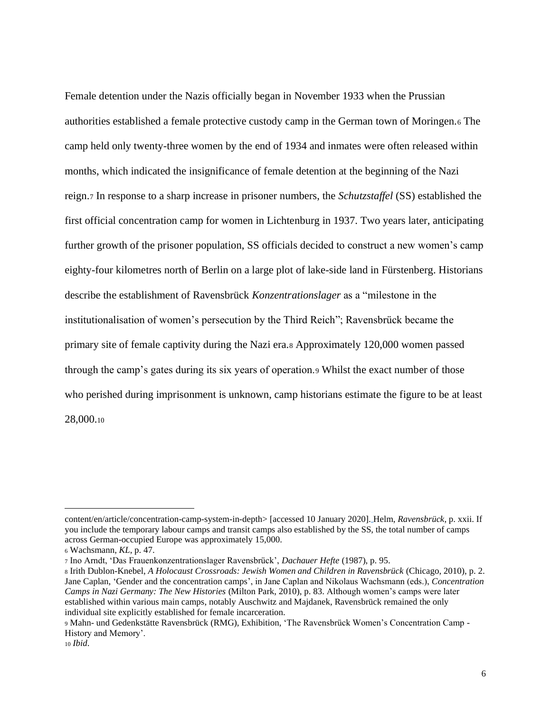Female detention under the Nazis officially began in November 1933 when the Prussian authorities established a female protective custody camp in the German town of Moringen.<sup>6</sup> The camp held only twenty-three women by the end of 1934 and inmates were often released within months, which indicated the insignificance of female detention at the beginning of the Nazi reign.<sup>7</sup> In response to a sharp increase in prisoner numbers, the *Schutzstaffel* (SS) established the first official concentration camp for women in Lichtenburg in 1937. Two years later, anticipating further growth of the prisoner population, SS officials decided to construct a new women's camp eighty-four kilometres north of Berlin on a large plot of lake-side land in Fürstenberg. Historians describe the establishment of Ravensbrück *Konzentrationslager* as a "milestone in the institutionalisation of women's persecution by the Third Reich"; Ravensbrück became the primary site of female captivity during the Nazi era.<sup>8</sup> Approximately 120,000 women passed through the camp's gates during its six years of operation.<sup>9</sup> Whilst the exact number of those who perished during imprisonment is unknown, camp historians estimate the figure to be at least 28,000.<sup>10</sup>

content/en/article/concentration-camp-system-in-depth> [accessed 10 January 2020]. Helm, *Ravensbrück*, p. xxii. If you include the temporary labour camps and transit camps also established by the SS, the total number of camps across German-occupied Europe was approximately 15,000.

<sup>6</sup> Wachsmann, *KL*, p. 47.

<sup>7</sup> Ino Arndt, 'Das Frauenkonzentrationslager Ravensbrück', *Dachauer Hefte* (1987), p. 95.

<sup>8</sup> Irith Dublon-Knebel, *A Holocaust Crossroads: Jewish Women and Children in Ravensbrück* (Chicago, 2010), p. 2. Jane Caplan, 'Gender and the concentration camps', in Jane Caplan and Nikolaus Wachsmann (eds.), *Concentration Camps in Nazi Germany: The New Histories* (Milton Park, 2010), p. 83. Although women's camps were later established within various main camps, notably Auschwitz and Majdanek, Ravensbrück remained the only individual site explicitly established for female incarceration.

<sup>9</sup> Mahn- und Gedenkstätte Ravensbrück (RMG), Exhibition, 'The Ravensbrück Women's Concentration Camp - History and Memory'.

<sup>10</sup> *Ibid*.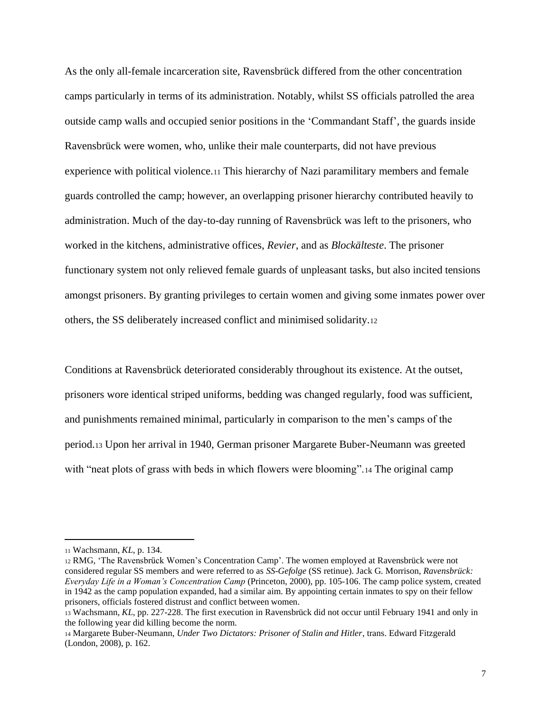As the only all-female incarceration site, Ravensbrück differed from the other concentration camps particularly in terms of its administration. Notably, whilst SS officials patrolled the area outside camp walls and occupied senior positions in the 'Commandant Staff', the guards inside Ravensbrück were women, who, unlike their male counterparts, did not have previous experience with political violence.<sup>11</sup> This hierarchy of Nazi paramilitary members and female guards controlled the camp; however, an overlapping prisoner hierarchy contributed heavily to administration. Much of the day-to-day running of Ravensbrück was left to the prisoners, who worked in the kitchens, administrative offices, *Revier*, and as *Blockälteste*. The prisoner functionary system not only relieved female guards of unpleasant tasks, but also incited tensions amongst prisoners. By granting privileges to certain women and giving some inmates power over others, the SS deliberately increased conflict and minimised solidarity.<sup>12</sup>

Conditions at Ravensbrück deteriorated considerably throughout its existence. At the outset, prisoners wore identical striped uniforms, bedding was changed regularly, food was sufficient, and punishments remained minimal, particularly in comparison to the men's camps of the period.<sup>13</sup> Upon her arrival in 1940, German prisoner Margarete Buber-Neumann was greeted with "neat plots of grass with beds in which flowers were blooming".<sup>14</sup> The original camp

<sup>11</sup> Wachsmann, *KL*, p. 134.

<sup>12</sup> RMG, 'The Ravensbrück Women's Concentration Camp'. The women employed at Ravensbrück were not considered regular SS members and were referred to as *SS-Gefolge* (SS retinue). Jack G. Morrison, *Ravensbrück: Everyday Life in a Woman's Concentration Camp* (Princeton, 2000), pp. 105-106. The camp police system, created in 1942 as the camp population expanded, had a similar aim. By appointing certain inmates to spy on their fellow prisoners, officials fostered distrust and conflict between women.

<sup>13</sup> Wachsmann, *KL*, pp. 227-228. The first execution in Ravensbrück did not occur until February 1941 and only in the following year did killing become the norm.

<sup>14</sup> Margarete Buber-Neumann, *Under Two Dictators: Prisoner of Stalin and Hitler*, trans. Edward Fitzgerald (London, 2008), p. 162.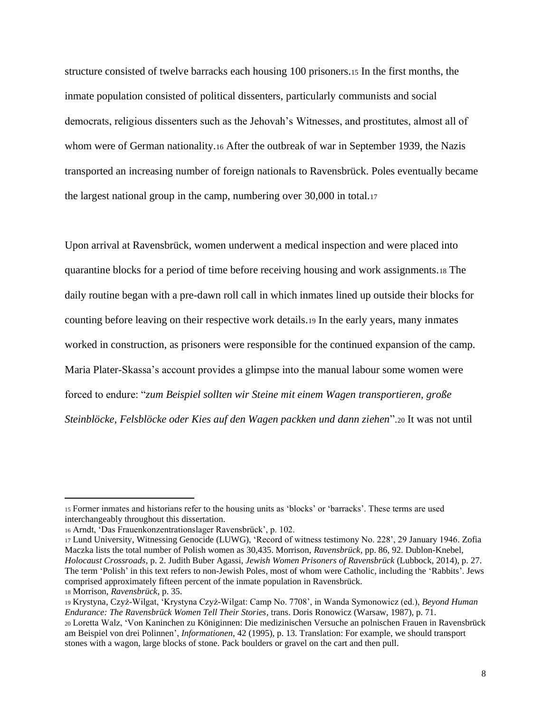structure consisted of twelve barracks each housing 100 prisoners.<sup>15</sup> In the first months, the inmate population consisted of political dissenters, particularly communists and social democrats, religious dissenters such as the Jehovah's Witnesses, and prostitutes, almost all of whom were of German nationality.<sup>16</sup> After the outbreak of war in September 1939, the Nazis transported an increasing number of foreign nationals to Ravensbrück. Poles eventually became the largest national group in the camp, numbering over 30,000 in total.<sup>17</sup>

Upon arrival at Ravensbrück, women underwent a medical inspection and were placed into quarantine blocks for a period of time before receiving housing and work assignments.<sup>18</sup> The daily routine began with a pre-dawn roll call in which inmates lined up outside their blocks for counting before leaving on their respective work details.<sup>19</sup> In the early years, many inmates worked in construction, as prisoners were responsible for the continued expansion of the camp. Maria Plater-Skassa's account provides a glimpse into the manual labour some women were forced to endure: "*zum Beispiel sollten wir Steine mit einem Wagen transportieren, große Steinblöcke, Felsblöcke oder Kies auf den Wagen packken und dann ziehen*".<sup>20</sup> It was not until

<sup>15</sup> Former inmates and historians refer to the housing units as 'blocks' or 'barracks'. These terms are used interchangeably throughout this dissertation.

<sup>16</sup> Arndt, 'Das Frauenkonzentrationslager Ravensbrück', p. 102.

<sup>17</sup> Lund University, Witnessing Genocide (LUWG), 'Record of witness testimony No. 228', 29 January 1946. Zofia Maczka lists the total number of Polish women as 30,435. Morrison, *Ravensbrück*, pp. 86, 92. Dublon-Knebel, *Holocaust Crossroads*, p. 2. Judith Buber Agassi, *Jewish Women Prisoners of Ravensbrück* (Lubbock, 2014), p. 27. The term 'Polish' in this text refers to non-Jewish Poles, most of whom were Catholic, including the 'Rabbits'. Jews comprised approximately fifteen percent of the inmate population in Ravensbrück.

<sup>18</sup> Morrison, *Ravensbrück*, p. 35.

<sup>19</sup> Krystyna, Czyż-Wilgat, 'Krystyna Czyż-Wilgat: Camp No. 7708', in Wanda Symonowicz (ed.), *Beyond Human Endurance: The Ravensbrück Women Tell Their Stories*, trans. Doris Ronowicz (Warsaw, 1987), p. 71.

<sup>20</sup> Loretta Walz, 'Von Kaninchen zu Königinnen: Die medizinischen Versuche an polnischen Frauen in Ravensbrück am Beispiel von drei Polinnen', *Informationen*, 42 (1995), p. 13. Translation: For example, we should transport stones with a wagon, large blocks of stone. Pack boulders or gravel on the cart and then pull.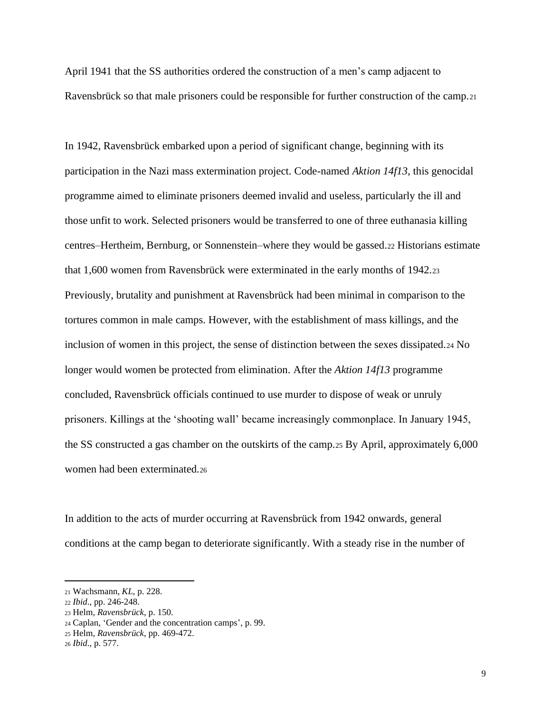April 1941 that the SS authorities ordered the construction of a men's camp adjacent to Ravensbrück so that male prisoners could be responsible for further construction of the camp.<sup>21</sup>

In 1942, Ravensbrück embarked upon a period of significant change, beginning with its participation in the Nazi mass extermination project. Code-named *Aktion 14f13*, this genocidal programme aimed to eliminate prisoners deemed invalid and useless, particularly the ill and those unfit to work. Selected prisoners would be transferred to one of three euthanasia killing centres–Hertheim, Bernburg, or Sonnenstein–where they would be gassed.<sup>22</sup> Historians estimate that 1,600 women from Ravensbrück were exterminated in the early months of 1942.<sup>23</sup> Previously, brutality and punishment at Ravensbrück had been minimal in comparison to the tortures common in male camps. However, with the establishment of mass killings, and the inclusion of women in this project, the sense of distinction between the sexes dissipated.<sup>24</sup> No longer would women be protected from elimination. After the *Aktion 14f13* programme concluded, Ravensbrück officials continued to use murder to dispose of weak or unruly prisoners. Killings at the 'shooting wall' became increasingly commonplace. In January 1945, the SS constructed a gas chamber on the outskirts of the camp.<sup>25</sup> By April, approximately 6,000 women had been exterminated.<sup>26</sup>

In addition to the acts of murder occurring at Ravensbrück from 1942 onwards, general conditions at the camp began to deteriorate significantly. With a steady rise in the number of

<sup>21</sup> Wachsmann, *KL*, p. 228.

<sup>22</sup> *Ibid*., pp. 246-248.

<sup>23</sup> Helm, *Ravensbrück*, p. 150.

<sup>24</sup> Caplan, 'Gender and the concentration camps', p. 99.

<sup>25</sup> Helm, *Ravensbrück*, pp. 469-472.

<sup>26</sup> *Ibid*., p. 577.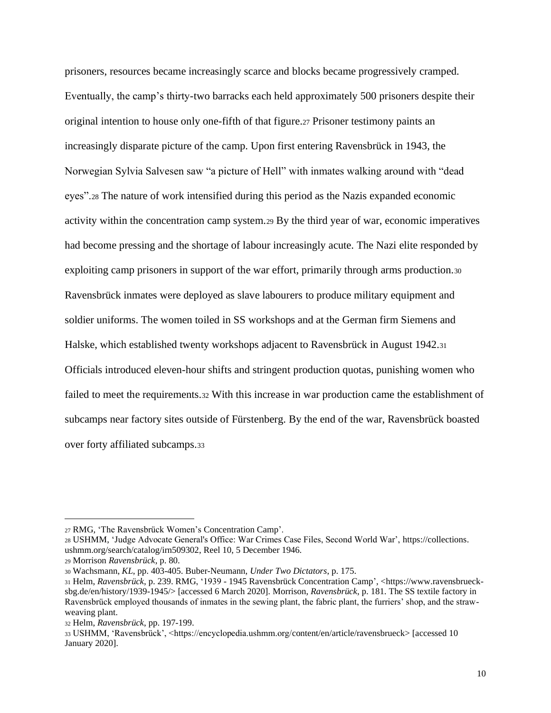prisoners, resources became increasingly scarce and blocks became progressively cramped. Eventually, the camp's thirty-two barracks each held approximately 500 prisoners despite their original intention to house only one-fifth of that figure.<sup>27</sup> Prisoner testimony paints an increasingly disparate picture of the camp. Upon first entering Ravensbrück in 1943, the Norwegian Sylvia Salvesen saw "a picture of Hell" with inmates walking around with "dead eyes".<sup>28</sup> The nature of work intensified during this period as the Nazis expanded economic activity within the concentration camp system.<sup>29</sup> By the third year of war, economic imperatives had become pressing and the shortage of labour increasingly acute. The Nazi elite responded by exploiting camp prisoners in support of the war effort, primarily through arms production.<sup>30</sup> Ravensbrück inmates were deployed as slave labourers to produce military equipment and soldier uniforms. The women toiled in SS workshops and at the German firm Siemens and Halske, which established twenty workshops adjacent to Ravensbrück in August 1942.<sup>31</sup> Officials introduced eleven-hour shifts and stringent production quotas, punishing women who failed to meet the requirements.<sup>32</sup> With this increase in war production came the establishment of subcamps near factory sites outside of Fürstenberg. By the end of the war, Ravensbrück boasted over forty affiliated subcamps.<sup>33</sup>

<sup>28</sup> USHMM, 'Judge Advocate General's Office: War Crimes Case Files, Second World War', https://collections. ushmm.org/search/catalog/irn509302, Reel 10, 5 December 1946.

<sup>27</sup> RMG, 'The Ravensbrück Women's Concentration Camp'.

<sup>29</sup> Morrison *Ravensbrück*, p. 80.

<sup>30</sup> Wachsmann, *KL*, pp. 403-405. Buber-Neumann, *Under Two Dictators*, p. 175.

<sup>31</sup> Helm, *Ravensbrück*, p. 239. RMG, '1939 - 1945 Ravensbrück Concentration Camp', <https://www.ravensbruecksbg.de/en/history/1939-1945/> [accessed 6 March 2020]. Morrison, *Ravensbrück*, p. 181. The SS textile factory in Ravensbrück employed thousands of inmates in the sewing plant, the fabric plant, the furriers' shop, and the strawweaving plant.

<sup>32</sup> Helm, *Ravensbrück*, pp. 197-199.

<sup>33</sup> USHMM, 'Ravensbrück', <https://encyclopedia.ushmm.org/content/en/article/ravensbrueck> [accessed 10 January 2020].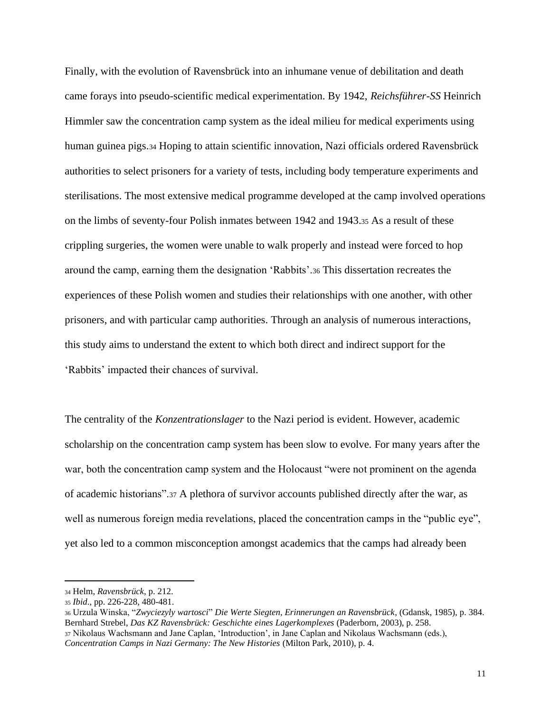Finally, with the evolution of Ravensbrück into an inhumane venue of debilitation and death came forays into pseudo-scientific medical experimentation. By 1942, *Reichsführer-SS* Heinrich Himmler saw the concentration camp system as the ideal milieu for medical experiments using human guinea pigs.<sup>34</sup> Hoping to attain scientific innovation, Nazi officials ordered Ravensbrück authorities to select prisoners for a variety of tests, including body temperature experiments and sterilisations. The most extensive medical programme developed at the camp involved operations on the limbs of seventy-four Polish inmates between 1942 and 1943.<sup>35</sup> As a result of these crippling surgeries, the women were unable to walk properly and instead were forced to hop around the camp, earning them the designation 'Rabbits'.<sup>36</sup> This dissertation recreates the experiences of these Polish women and studies their relationships with one another, with other prisoners, and with particular camp authorities. Through an analysis of numerous interactions, this study aims to understand the extent to which both direct and indirect support for the 'Rabbits' impacted their chances of survival.

The centrality of the *Konzentrationslager* to the Nazi period is evident. However, academic scholarship on the concentration camp system has been slow to evolve. For many years after the war, both the concentration camp system and the Holocaust "were not prominent on the agenda of academic historians".<sup>37</sup> A plethora of survivor accounts published directly after the war, as well as numerous foreign media revelations, placed the concentration camps in the "public eye", yet also led to a common misconception amongst academics that the camps had already been

11

<sup>34</sup> Helm, *Ravensbrück*, p. 212.

<sup>35</sup> *Ibid*., pp. 226-228, 480-481.

<sup>36</sup> Urzula Winska, "*Zwyciezyly wartosci*" *Die Werte Siegten, Erinnerungen an Ravensbrück*, (Gdansk, 1985), p. 384. Bernhard Strebel, *Das KZ Ravensbrück: Geschichte eines Lagerkomplexes* (Paderborn, 2003), p. 258. <sup>37</sup> Nikolaus Wachsmann and Jane Caplan, 'Introduction', in Jane Caplan and Nikolaus Wachsmann (eds.), *Concentration Camps in Nazi Germany: The New Histories* (Milton Park, 2010), p. 4.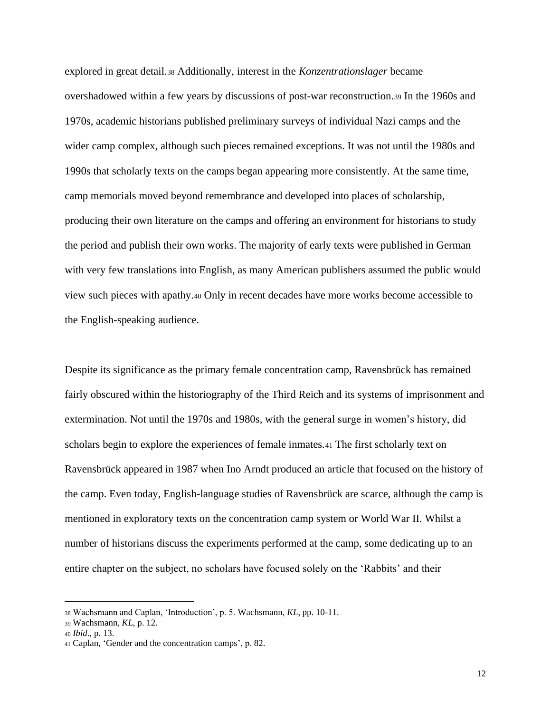explored in great detail.<sup>38</sup> Additionally, interest in the *Konzentrationslager* became overshadowed within a few years by discussions of post-war reconstruction.<sup>39</sup> In the 1960s and 1970s, academic historians published preliminary surveys of individual Nazi camps and the wider camp complex, although such pieces remained exceptions. It was not until the 1980s and 1990s that scholarly texts on the camps began appearing more consistently. At the same time, camp memorials moved beyond remembrance and developed into places of scholarship, producing their own literature on the camps and offering an environment for historians to study the period and publish their own works. The majority of early texts were published in German with very few translations into English, as many American publishers assumed the public would view such pieces with apathy.<sup>40</sup> Only in recent decades have more works become accessible to the English-speaking audience.

Despite its significance as the primary female concentration camp, Ravensbrück has remained fairly obscured within the historiography of the Third Reich and its systems of imprisonment and extermination. Not until the 1970s and 1980s, with the general surge in women's history, did scholars begin to explore the experiences of female inmates.<sup>41</sup> The first scholarly text on Ravensbrück appeared in 1987 when Ino Arndt produced an article that focused on the history of the camp. Even today, English-language studies of Ravensbrück are scarce, although the camp is mentioned in exploratory texts on the concentration camp system or World War II. Whilst a number of historians discuss the experiments performed at the camp, some dedicating up to an entire chapter on the subject, no scholars have focused solely on the 'Rabbits' and their

<sup>38</sup> Wachsmann and Caplan, 'Introduction', p. 5. Wachsmann, *KL*, pp. 10-11.

<sup>39</sup> Wachsmann, *KL*, p. 12.

<sup>40</sup> *Ibid*., p. 13.

<sup>41</sup> Caplan, 'Gender and the concentration camps', p. 82.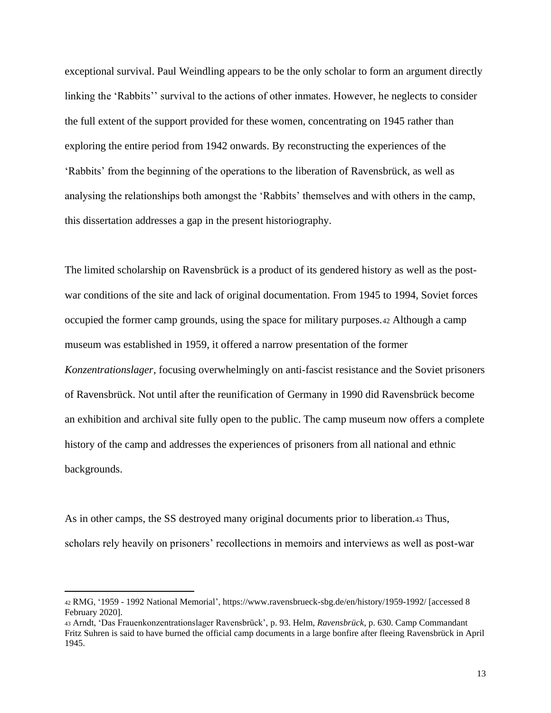exceptional survival. Paul Weindling appears to be the only scholar to form an argument directly linking the 'Rabbits'' survival to the actions of other inmates. However, he neglects to consider the full extent of the support provided for these women, concentrating on 1945 rather than exploring the entire period from 1942 onwards. By reconstructing the experiences of the 'Rabbits' from the beginning of the operations to the liberation of Ravensbrück, as well as analysing the relationships both amongst the 'Rabbits' themselves and with others in the camp, this dissertation addresses a gap in the present historiography.

The limited scholarship on Ravensbrück is a product of its gendered history as well as the postwar conditions of the site and lack of original documentation. From 1945 to 1994, Soviet forces occupied the former camp grounds, using the space for military purposes.<sup>42</sup> Although a camp museum was established in 1959, it offered a narrow presentation of the former *Konzentrationslager*, focusing overwhelmingly on anti-fascist resistance and the Soviet prisoners of Ravensbrück. Not until after the reunification of Germany in 1990 did Ravensbrück become an exhibition and archival site fully open to the public. The camp museum now offers a complete history of the camp and addresses the experiences of prisoners from all national and ethnic backgrounds.

As in other camps, the SS destroyed many original documents prior to liberation.<sup>43</sup> Thus, scholars rely heavily on prisoners' recollections in memoirs and interviews as well as post-war

<sup>42</sup> RMG, '1959 - 1992 National Memorial', https://www.ravensbrueck-sbg.de/en/history/1959-1992/ [accessed 8 February 2020].

<sup>43</sup> Arndt, 'Das Frauenkonzentrationslager Ravensbrück', p. 93. Helm, *Ravensbrück*, p. 630. Camp Commandant Fritz Suhren is said to have burned the official camp documents in a large bonfire after fleeing Ravensbrück in April 1945.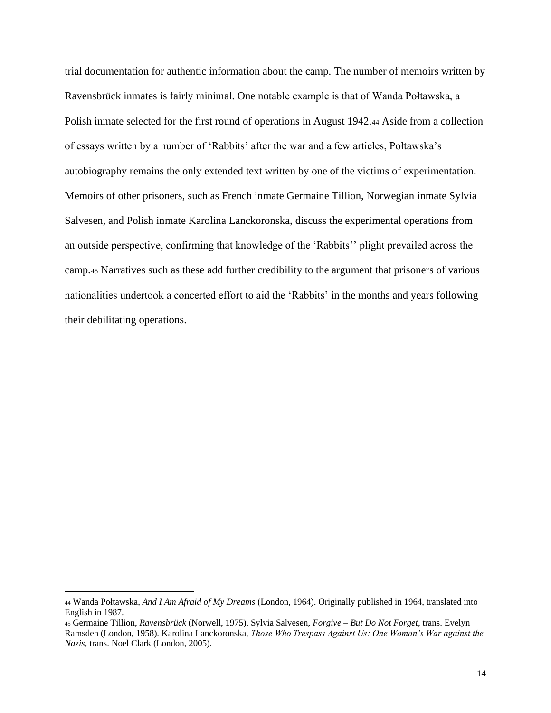trial documentation for authentic information about the camp. The number of memoirs written by Ravensbrück inmates is fairly minimal. One notable example is that of Wanda Połtawska, a Polish inmate selected for the first round of operations in August 1942.<sup>44</sup> Aside from a collection of essays written by a number of 'Rabbits' after the war and a few articles, Połtawska's autobiography remains the only extended text written by one of the victims of experimentation. Memoirs of other prisoners, such as French inmate Germaine Tillion, Norwegian inmate Sylvia Salvesen, and Polish inmate Karolina Lanckoronska, discuss the experimental operations from an outside perspective, confirming that knowledge of the 'Rabbits'' plight prevailed across the camp.<sup>45</sup> Narratives such as these add further credibility to the argument that prisoners of various nationalities undertook a concerted effort to aid the 'Rabbits' in the months and years following their debilitating operations.

<sup>44</sup> Wanda Połtawska, *And I Am Afraid of My Dreams* (London, 1964). Originally published in 1964, translated into English in 1987.

<sup>45</sup> Germaine Tillion, *Ravensbrück* (Norwell, 1975). Sylvia Salvesen, *Forgive – But Do Not Forget,* trans. Evelyn Ramsden (London, 1958). Karolina Lanckoronska, *Those Who Trespass Against Us: One Woman's War against the Nazis,* trans. Noel Clark (London, 2005).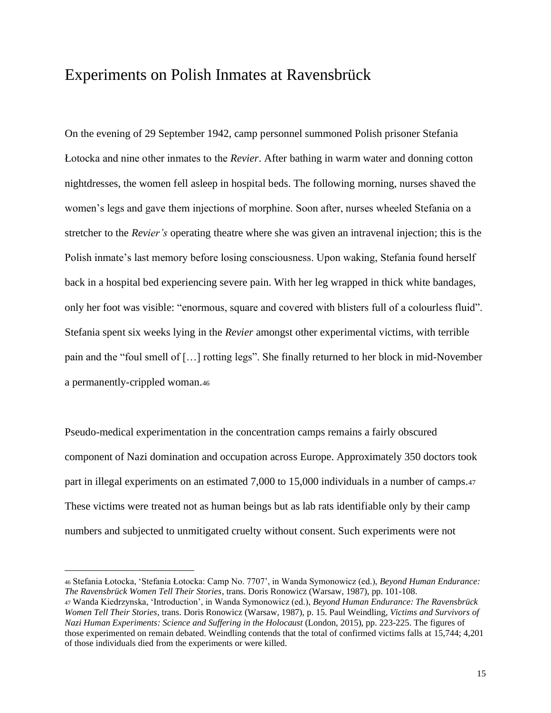### Experiments on Polish Inmates at Ravensbrück

On the evening of 29 September 1942, camp personnel summoned Polish prisoner Stefania Łotocka and nine other inmates to the *Revier*. After bathing in warm water and donning cotton nightdresses, the women fell asleep in hospital beds. The following morning, nurses shaved the women's legs and gave them injections of morphine. Soon after, nurses wheeled Stefania on a stretcher to the *Revier's* operating theatre where she was given an intravenal injection; this is the Polish inmate's last memory before losing consciousness. Upon waking, Stefania found herself back in a hospital bed experiencing severe pain. With her leg wrapped in thick white bandages, only her foot was visible: "enormous, square and covered with blisters full of a colourless fluid". Stefania spent six weeks lying in the *Revier* amongst other experimental victims, with terrible pain and the "foul smell of […] rotting legs". She finally returned to her block in mid-November a permanently-crippled woman.<sup>46</sup>

Pseudo-medical experimentation in the concentration camps remains a fairly obscured component of Nazi domination and occupation across Europe. Approximately 350 doctors took part in illegal experiments on an estimated 7,000 to 15,000 individuals in a number of camps.<sup>47</sup> These victims were treated not as human beings but as lab rats identifiable only by their camp numbers and subjected to unmitigated cruelty without consent. Such experiments were not

<sup>46</sup> Stefania Łotocka, 'Stefania Łotocka: Camp No. 7707', in Wanda Symonowicz (ed.), *Beyond Human Endurance: The Ravensbrück Women Tell Their Stories*, trans. Doris Ronowicz (Warsaw, 1987), pp. 101-108.

<sup>47</sup> Wanda Kiedrzynska, 'Introduction', in Wanda Symonowicz (ed.), *Beyond Human Endurance: The Ravensbrück Women Tell Their Stories*, trans. Doris Ronowicz (Warsaw, 1987), p. 15. Paul Weindling, *Victims and Survivors of Nazi Human Experiments: Science and Suffering in the Holocaust* (London, 2015), pp. 223-225. The figures of those experimented on remain debated. Weindling contends that the total of confirmed victims falls at 15,744; 4,201 of those individuals died from the experiments or were killed.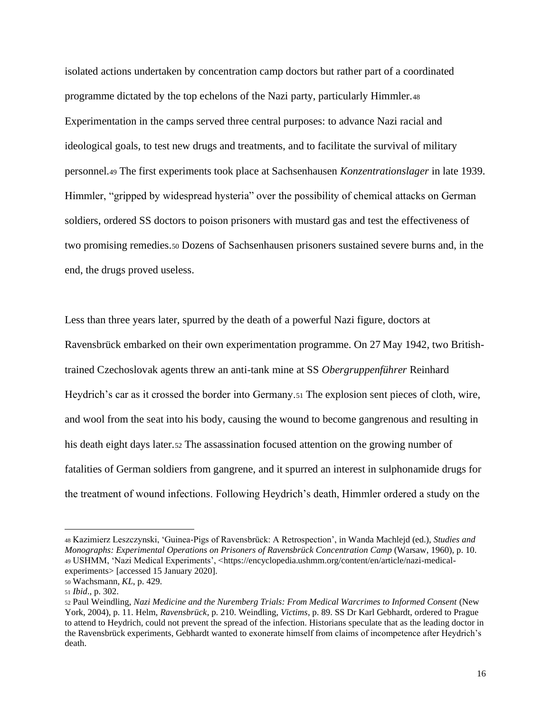isolated actions undertaken by concentration camp doctors but rather part of a coordinated programme dictated by the top echelons of the Nazi party, particularly Himmler.<sup>48</sup> Experimentation in the camps served three central purposes: to advance Nazi racial and ideological goals, to test new drugs and treatments, and to facilitate the survival of military personnel.<sup>49</sup> The first experiments took place at Sachsenhausen *Konzentrationslager* in late 1939. Himmler, "gripped by widespread hysteria" over the possibility of chemical attacks on German soldiers, ordered SS doctors to poison prisoners with mustard gas and test the effectiveness of two promising remedies.<sup>50</sup> Dozens of Sachsenhausen prisoners sustained severe burns and, in the end, the drugs proved useless.

Less than three years later, spurred by the death of a powerful Nazi figure, doctors at Ravensbrück embarked on their own experimentation programme. On 27 May 1942, two Britishtrained Czechoslovak agents threw an anti-tank mine at SS *Obergruppenführer* Reinhard Heydrich's car as it crossed the border into Germany.<sup>51</sup> The explosion sent pieces of cloth, wire, and wool from the seat into his body, causing the wound to become gangrenous and resulting in his death eight days later.<sup>52</sup> The assassination focused attention on the growing number of fatalities of German soldiers from gangrene, and it spurred an interest in sulphonamide drugs for the treatment of wound infections. Following Heydrich's death, Himmler ordered a study on the

<sup>48</sup> Kazimierz Leszczynski, 'Guinea-Pigs of Ravensbrück: A Retrospection', in Wanda Machlejd (ed.), *Studies and Monographs: Experimental Operations on Prisoners of Ravensbrück Concentration Camp* (Warsaw, 1960), p. 10. <sup>49</sup> USHMM, 'Nazi Medical Experiments', <https://encyclopedia.ushmm.org/content/en/article/nazi-medicalexperiments> [accessed 15 January 2020].

<sup>50</sup> Wachsmann, *KL*, p. 429.

<sup>51</sup> *Ibid*., p. 302.

<sup>52</sup> Paul Weindling, *Nazi Medicine and the Nuremberg Trials: From Medical Warcrimes to Informed Consent* (New York, 2004), p. 11. Helm, *Ravensbrück*, p. 210. Weindling, *Victims*, p. 89. SS Dr Karl Gebhardt, ordered to Prague to attend to Heydrich, could not prevent the spread of the infection. Historians speculate that as the leading doctor in the Ravensbrück experiments, Gebhardt wanted to exonerate himself from claims of incompetence after Heydrich's death.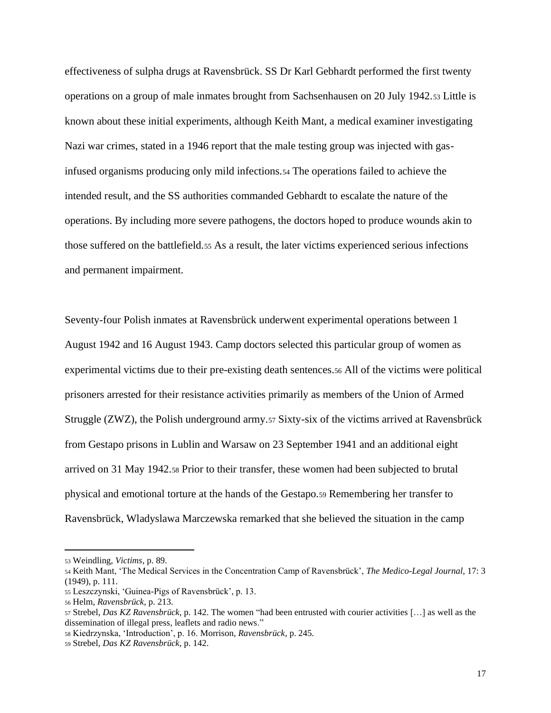effectiveness of sulpha drugs at Ravensbrück. SS Dr Karl Gebhardt performed the first twenty operations on a group of male inmates brought from Sachsenhausen on 20 July 1942.<sup>53</sup> Little is known about these initial experiments, although Keith Mant, a medical examiner investigating Nazi war crimes, stated in a 1946 report that the male testing group was injected with gasinfused organisms producing only mild infections.<sup>54</sup> The operations failed to achieve the intended result, and the SS authorities commanded Gebhardt to escalate the nature of the operations. By including more severe pathogens, the doctors hoped to produce wounds akin to those suffered on the battlefield.<sup>55</sup> As a result, the later victims experienced serious infections and permanent impairment.

Seventy-four Polish inmates at Ravensbrück underwent experimental operations between 1 August 1942 and 16 August 1943. Camp doctors selected this particular group of women as experimental victims due to their pre-existing death sentences.<sup>56</sup> All of the victims were political prisoners arrested for their resistance activities primarily as members of the Union of Armed Struggle (ZWZ), the Polish underground army.<sup>57</sup> Sixty-six of the victims arrived at Ravensbrück from Gestapo prisons in Lublin and Warsaw on 23 September 1941 and an additional eight arrived on 31 May 1942.<sup>58</sup> Prior to their transfer, these women had been subjected to brutal physical and emotional torture at the hands of the Gestapo.<sup>59</sup> Remembering her transfer to Ravensbrück, Wladyslawa Marczewska remarked that she believed the situation in the camp

<sup>53</sup> Weindling, *Victims*, p. 89.

<sup>54</sup> Keith Mant, 'The Medical Services in the Concentration Camp of Ravensbrück', *The Medico-Legal Journal*, 17: 3 (1949), p. 111.

<sup>55</sup> Leszczynski, 'Guinea-Pigs of Ravensbrück', p. 13.

<sup>56</sup> Helm, *Ravensbrück*, p. 213.

<sup>57</sup> Strebel, *Das KZ Ravensbrück*, p. 142. The women "had been entrusted with courier activities […] as well as the dissemination of illegal press, leaflets and radio news."

<sup>58</sup> Kiedrzynska, 'Introduction', p. 16. Morrison, *Ravensbrück*, p. 245.

<sup>59</sup> Strebel, *Das KZ Ravensbrück,* p. 142.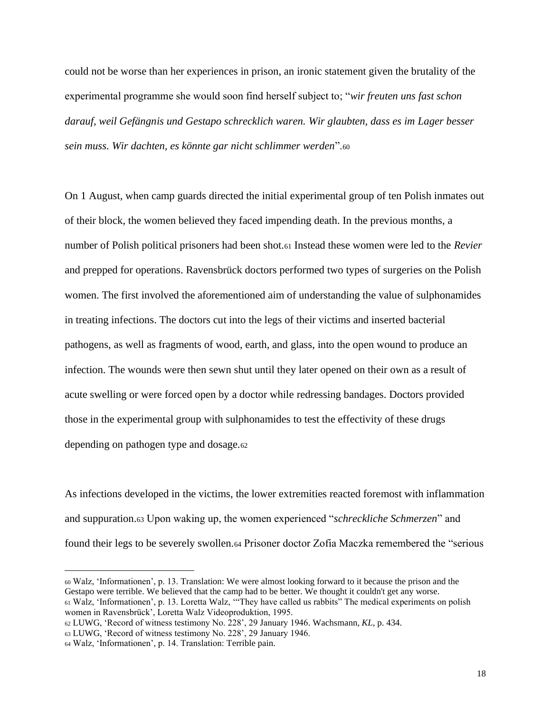could not be worse than her experiences in prison, an ironic statement given the brutality of the experimental programme she would soon find herself subject to; "*wir freuten uns fast schon darauf, weil Gefängnis und Gestapo schrecklich waren. Wir glaubten, dass es im Lager besser sein muss. Wir dachten, es könnte gar nicht schlimmer werden*".<sup>60</sup>

On 1 August, when camp guards directed the initial experimental group of ten Polish inmates out of their block, the women believed they faced impending death. In the previous months, a number of Polish political prisoners had been shot.<sup>61</sup> Instead these women were led to the *Revier* and prepped for operations. Ravensbrück doctors performed two types of surgeries on the Polish women. The first involved the aforementioned aim of understanding the value of sulphonamides in treating infections. The doctors cut into the legs of their victims and inserted bacterial pathogens, as well as fragments of wood, earth, and glass, into the open wound to produce an infection. The wounds were then sewn shut until they later opened on their own as a result of acute swelling or were forced open by a doctor while redressing bandages. Doctors provided those in the experimental group with sulphonamides to test the effectivity of these drugs depending on pathogen type and dosage.<sup>62</sup>

As infections developed in the victims, the lower extremities reacted foremost with inflammation and suppuration.<sup>63</sup> Upon waking up, the women experienced "*schreckliche Schmerzen*" and found their legs to be severely swollen.<sup>64</sup> Prisoner doctor Zofia Maczka remembered the "serious

<sup>60</sup> Walz, 'Informationen', p. 13. Translation: We were almost looking forward to it because the prison and the Gestapo were terrible. We believed that the camp had to be better. We thought it couldn't get any worse. <sup>61</sup> Walz, 'Informationen', p. 13. Loretta Walz, '"They have called us rabbits" The medical experiments on polish women in Ravensbrück', Loretta Walz Videoproduktion, 1995.

<sup>62</sup> LUWG, 'Record of witness testimony No. 228', 29 January 1946. Wachsmann, *KL*, p. 434.

<sup>63</sup> LUWG, 'Record of witness testimony No. 228', 29 January 1946.

<sup>64</sup> Walz, 'Informationen', p. 14. Translation: Terrible pain.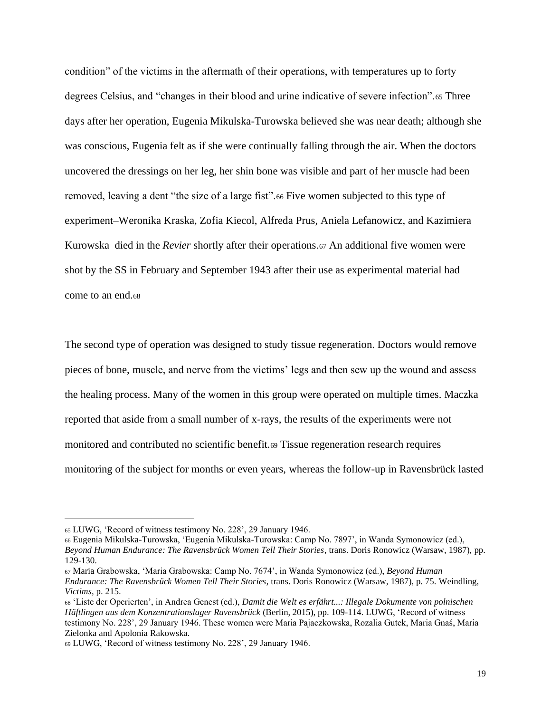condition" of the victims in the aftermath of their operations, with temperatures up to forty degrees Celsius, and "changes in their blood and urine indicative of severe infection".<sup>65</sup> Three days after her operation, Eugenia Mikulska-Turowska believed she was near death; although she was conscious, Eugenia felt as if she were continually falling through the air. When the doctors uncovered the dressings on her leg, her shin bone was visible and part of her muscle had been removed, leaving a dent "the size of a large fist".<sup>66</sup> Five women subjected to this type of experiment–Weronika Kraska, Zofia Kiecol, Alfreda Prus, Aniela Lefanowicz, and Kazimiera Kurowska–died in the *Revier* shortly after their operations.<sup>67</sup> An additional five women were shot by the SS in February and September 1943 after their use as experimental material had come to an end.<sup>68</sup>

The second type of operation was designed to study tissue regeneration. Doctors would remove pieces of bone, muscle, and nerve from the victims' legs and then sew up the wound and assess the healing process. Many of the women in this group were operated on multiple times. Maczka reported that aside from a small number of x-rays, the results of the experiments were not monitored and contributed no scientific benefit.<sup>69</sup> Tissue regeneration research requires monitoring of the subject for months or even years, whereas the follow-up in Ravensbrück lasted

<sup>65</sup> LUWG, 'Record of witness testimony No. 228', 29 January 1946.

<sup>66</sup> Eugenia Mikulska-Turowska, 'Eugenia Mikulska-Turowska: Camp No. 7897', in Wanda Symonowicz (ed.), *Beyond Human Endurance: The Ravensbrück Women Tell Their Stories*, trans. Doris Ronowicz (Warsaw, 1987), pp. 129-130.

<sup>67</sup> Maria Grabowska, 'Maria Grabowska: Camp No. 7674', in Wanda Symonowicz (ed.), *Beyond Human Endurance: The Ravensbrück Women Tell Their Stories*, trans. Doris Ronowicz (Warsaw, 1987), p. 75. Weindling, *Victims,* p. 215.

<sup>68</sup> 'Liste der Operierten', in Andrea Genest (ed.), *Damit die Welt es erfährt...: Illegale Dokumente von polnischen Häftlingen aus dem Konzentrationslager Ravensbrück* (Berlin, 2015), pp. 109-114. LUWG, 'Record of witness testimony No. 228', 29 January 1946. These women were Maria Pajaczkowska, Rozalia Gutek, Maria Gnaś, Maria Zielonka and Apolonia Rakowska.

<sup>69</sup> LUWG, 'Record of witness testimony No. 228', 29 January 1946.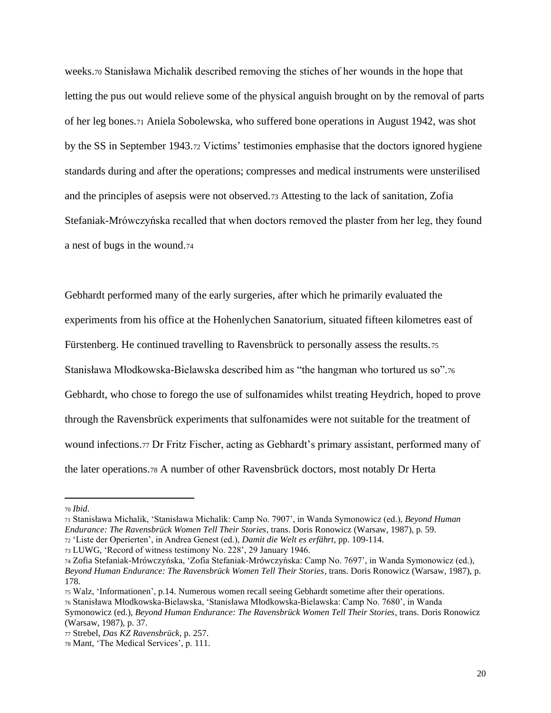weeks.<sup>70</sup> Stanisława Michalik described removing the stiches of her wounds in the hope that letting the pus out would relieve some of the physical anguish brought on by the removal of parts of her leg bones.<sup>71</sup> Aniela Sobolewska, who suffered bone operations in August 1942, was shot by the SS in September 1943.<sup>72</sup> Victims' testimonies emphasise that the doctors ignored hygiene standards during and after the operations; compresses and medical instruments were unsterilised and the principles of asepsis were not observed.<sup>73</sup> Attesting to the lack of sanitation, Zofia Stefaniak-Mrówczyńska recalled that when doctors removed the plaster from her leg, they found a nest of bugs in the wound.<sup>74</sup>

Gebhardt performed many of the early surgeries, after which he primarily evaluated the experiments from his office at the Hohenlychen Sanatorium, situated fifteen kilometres east of Fürstenberg. He continued travelling to Ravensbrück to personally assess the results.<sup>75</sup> Stanisława Młodkowska-Bielawska described him as "the hangman who tortured us so".<sup>76</sup> Gebhardt, who chose to forego the use of sulfonamides whilst treating Heydrich, hoped to prove through the Ravensbrück experiments that sulfonamides were not suitable for the treatment of wound infections.<sup>77</sup> Dr Fritz Fischer, acting as Gebhardt's primary assistant, performed many of the later operations.<sup>78</sup> A number of other Ravensbrück doctors, most notably Dr Herta

<sup>70</sup> *Ibid*.

<sup>71</sup> Stanisława Michalik, 'Stanisława Michalik: Camp No. 7907', in Wanda Symonowicz (ed.), *Beyond Human Endurance: The Ravensbrück Women Tell Their Stories*, trans. Doris Ronowicz (Warsaw, 1987), p. 59.

<sup>72</sup> 'Liste der Operierten', in Andrea Genest (ed.), *Damit die Welt es erfährt*, pp. 109-114.

<sup>73</sup> LUWG, 'Record of witness testimony No. 228', 29 January 1946.

<sup>74</sup> Zofia Stefaniak-Mrówczyńska, 'Zofia Stefaniak-Mrówczyńska: Camp No. 7697', in Wanda Symonowicz (ed.), *Beyond Human Endurance: The Ravensbrück Women Tell Their Stories*, trans. Doris Ronowicz (Warsaw, 1987), p. 178.

<sup>75</sup> Walz, 'Informationen', p.14. Numerous women recall seeing Gebhardt sometime after their operations.

<sup>76</sup> Stanisława Młodkowska-Bielawska, 'Stanisława Młodkowska-Bielawska: Camp No. 7680', in Wanda

Symonowicz (ed.), *Beyond Human Endurance: The Ravensbrück Women Tell Their Stories*, trans. Doris Ronowicz (Warsaw, 1987), p. 37.

<sup>77</sup> Strebel, *Das KZ Ravensbrück,* p. 257.

<sup>78</sup> Mant, 'The Medical Services', p. 111.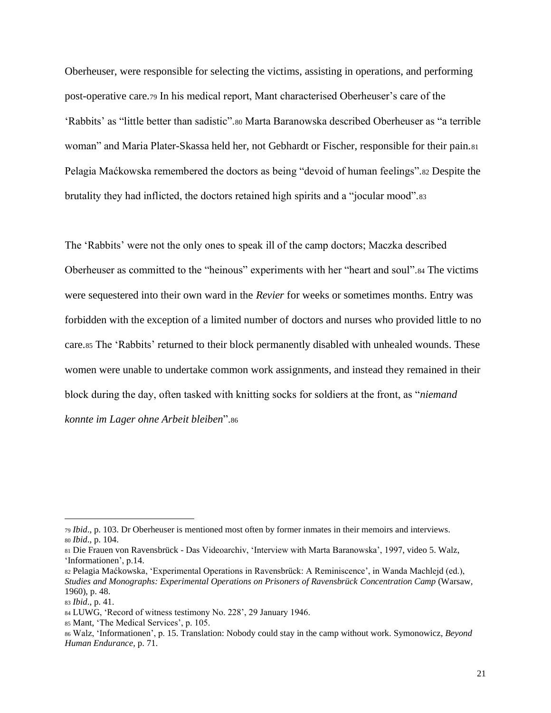Oberheuser, were responsible for selecting the victims, assisting in operations, and performing post-operative care.<sup>79</sup> In his medical report, Mant characterised Oberheuser's care of the 'Rabbits' as "little better than sadistic".<sup>80</sup> Marta Baranowska described Oberheuser as "a terrible woman" and Maria Plater-Skassa held her, not Gebhardt or Fischer, responsible for their pain.<sup>81</sup> Pelagia Maćkowska remembered the doctors as being "devoid of human feelings".<sup>82</sup> Despite the brutality they had inflicted, the doctors retained high spirits and a "jocular mood".<sup>83</sup>

The 'Rabbits' were not the only ones to speak ill of the camp doctors; Maczka described Oberheuser as committed to the "heinous" experiments with her "heart and soul".<sup>84</sup> The victims were sequestered into their own ward in the *Revier* for weeks or sometimes months. Entry was forbidden with the exception of a limited number of doctors and nurses who provided little to no care.<sup>85</sup> The 'Rabbits' returned to their block permanently disabled with unhealed wounds. These women were unable to undertake common work assignments, and instead they remained in their block during the day, often tasked with knitting socks for soldiers at the front, as "*niemand konnte im Lager ohne Arbeit bleiben*".<sup>86</sup>

<sup>79</sup> *Ibid*., p. 103. Dr Oberheuser is mentioned most often by former inmates in their memoirs and interviews. <sup>80</sup> *Ibid*., p. 104.

<sup>81</sup> Die Frauen von Ravensbrück - Das Videoarchiv, 'Interview with Marta Baranowska', 1997, video 5. Walz, 'Informationen', p.14.

<sup>82</sup> Pelagia Maćkowska, 'Experimental Operations in Ravensbrück: A Reminiscence', in Wanda Machlejd (ed.), *Studies and Monographs: Experimental Operations on Prisoners of Ravensbrück Concentration Camp* (Warsaw, 1960), p. 48.

<sup>83</sup> *Ibid*., p. 41.

<sup>84</sup> LUWG, 'Record of witness testimony No. 228', 29 January 1946.

<sup>85</sup> Mant, 'The Medical Services', p. 105.

<sup>86</sup> Walz, 'Informationen', p. 15. Translation: Nobody could stay in the camp without work. Symonowicz, *Beyond Human Endurance*, p. 71.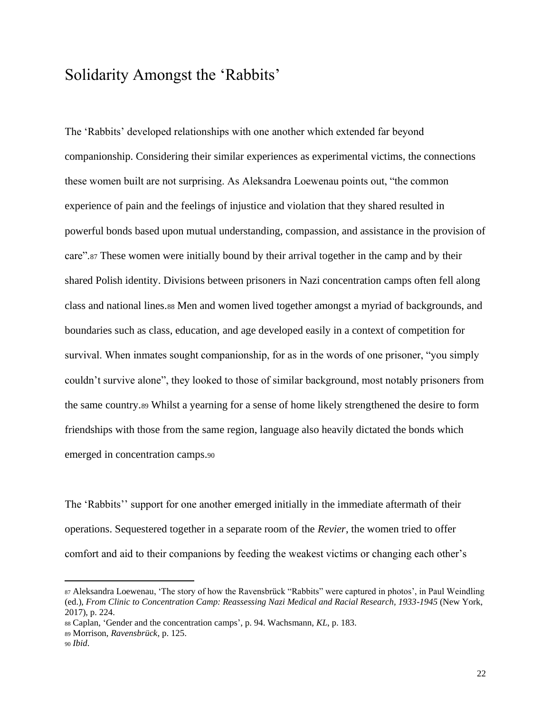### Solidarity Amongst the 'Rabbits'

The 'Rabbits' developed relationships with one another which extended far beyond companionship. Considering their similar experiences as experimental victims, the connections these women built are not surprising. As Aleksandra Loewenau points out, "the common experience of pain and the feelings of injustice and violation that they shared resulted in powerful bonds based upon mutual understanding, compassion, and assistance in the provision of care".<sup>87</sup> These women were initially bound by their arrival together in the camp and by their shared Polish identity. Divisions between prisoners in Nazi concentration camps often fell along class and national lines.<sup>88</sup> Men and women lived together amongst a myriad of backgrounds, and boundaries such as class, education, and age developed easily in a context of competition for survival. When inmates sought companionship, for as in the words of one prisoner, "you simply couldn't survive alone", they looked to those of similar background, most notably prisoners from the same country.<sup>89</sup> Whilst a yearning for a sense of home likely strengthened the desire to form friendships with those from the same region, language also heavily dictated the bonds which emerged in concentration camps.<sup>90</sup>

The 'Rabbits'' support for one another emerged initially in the immediate aftermath of their operations. Sequestered together in a separate room of the *Revier*, the women tried to offer comfort and aid to their companions by feeding the weakest victims or changing each other's

<sup>87</sup> Aleksandra Loewenau, 'The story of how the Ravensbrück "Rabbits" were captured in photos', in Paul Weindling (ed.), *From Clinic to Concentration Camp: Reassessing Nazi Medical and Racial Research, 1933-1945* (New York, 2017), p. 224.

<sup>88</sup> Caplan, 'Gender and the concentration camps', p. 94. Wachsmann, *KL*, p. 183.

<sup>89</sup> Morrison, *Ravensbrück*, p. 125.

<sup>90</sup> *Ibid*.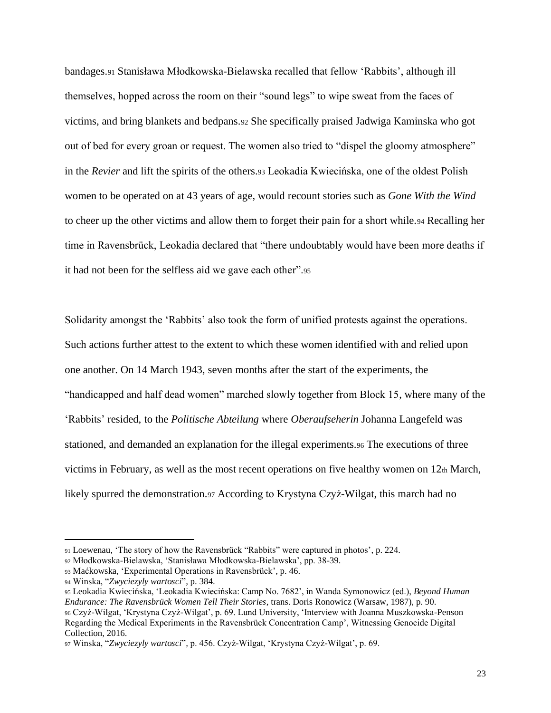bandages.<sup>91</sup> Stanisława Młodkowska-Bielawska recalled that fellow 'Rabbits', although ill themselves, hopped across the room on their "sound legs" to wipe sweat from the faces of victims, and bring blankets and bedpans.<sup>92</sup> She specifically praised Jadwiga Kaminska who got out of bed for every groan or request. The women also tried to "dispel the gloomy atmosphere" in the *Revier* and lift the spirits of the others.<sup>93</sup> Leokadia Kwiecińska, one of the oldest Polish women to be operated on at 43 years of age, would recount stories such as *Gone With the Wind*  to cheer up the other victims and allow them to forget their pain for a short while.<sup>94</sup> Recalling her time in Ravensbrück, Leokadia declared that "there undoubtably would have been more deaths if it had not been for the selfless aid we gave each other".<sup>95</sup>

Solidarity amongst the 'Rabbits' also took the form of unified protests against the operations. Such actions further attest to the extent to which these women identified with and relied upon one another. On 14 March 1943, seven months after the start of the experiments, the "handicapped and half dead women" marched slowly together from Block 15, where many of the 'Rabbits' resided, to the *Politische Abteilung* where *Oberaufseherin* Johanna Langefeld was stationed, and demanded an explanation for the illegal experiments.<sup>96</sup> The executions of three victims in February, as well as the most recent operations on five healthy women on  $12<sub>th</sub>$  March, likely spurred the demonstration.<sup>97</sup> According to Krystyna Czyż-Wilgat, this march had no

<sup>91</sup> Loewenau, 'The story of how the Ravensbrück "Rabbits" were captured in photos', p. 224.

<sup>92</sup> Młodkowska-Bielawska, 'Stanisława Młodkowska-Bielawska', pp. 38-39.

<sup>93</sup> Maćkowska, 'Experimental Operations in Ravensbrück', p. 46.

<sup>94</sup> Winska, "*Zwyciezyly wartosci*"*,* p. 384.

<sup>95</sup> Leokadia Kwiecińska, 'Leokadia Kwiecińska: Camp No. 7682', in Wanda Symonowicz (ed.), *Beyond Human Endurance: The Ravensbrück Women Tell Their Stories*, trans. Doris Ronowicz (Warsaw, 1987), p. 90. <sup>96</sup> Czyż-Wilgat, 'Krystyna Czyż-Wilgat', p. 69. Lund University, 'Interview with Joanna Muszkowska-Penson Regarding the Medical Experiments in the Ravensbrück Concentration Camp', Witnessing Genocide Digital Collection, 2016.

<sup>97</sup> Winska, "*Zwyciezyly wartosci*"*,* p. 456. Czyż-Wilgat, 'Krystyna Czyż-Wilgat', p. 69.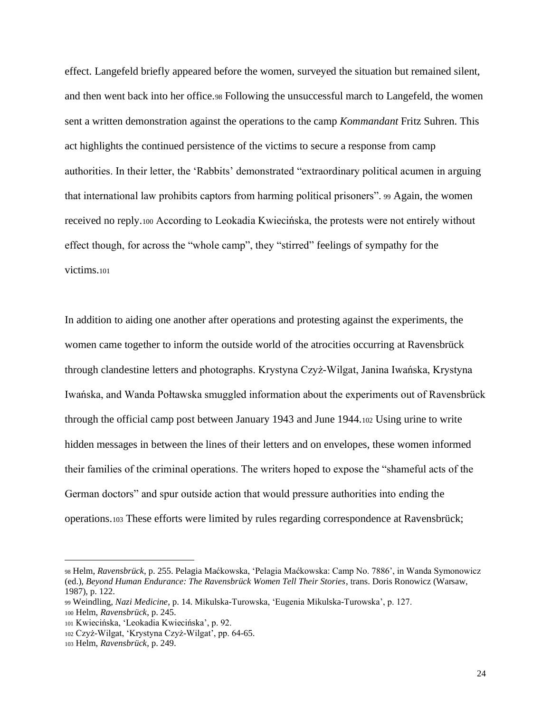effect. Langefeld briefly appeared before the women, surveyed the situation but remained silent, and then went back into her office.<sup>98</sup> Following the unsuccessful march to Langefeld, the women sent a written demonstration against the operations to the camp *Kommandant* Fritz Suhren. This act highlights the continued persistence of the victims to secure a response from camp authorities. In their letter, the 'Rabbits' demonstrated "extraordinary political acumen in arguing that international law prohibits captors from harming political prisoners". <sup>99</sup> Again, the women received no reply.<sup>100</sup> According to Leokadia Kwiecińska, the protests were not entirely without effect though, for across the "whole camp", they "stirred" feelings of sympathy for the victims.<sup>101</sup>

In addition to aiding one another after operations and protesting against the experiments, the women came together to inform the outside world of the atrocities occurring at Ravensbrück through clandestine letters and photographs. Krystyna Czyż-Wilgat, Janina Iwańska, Krystyna Iwańska, and Wanda Połtawska smuggled information about the experiments out of Ravensbrück through the official camp post between January 1943 and June 1944.<sup>102</sup> Using urine to write hidden messages in between the lines of their letters and on envelopes, these women informed their families of the criminal operations. The writers hoped to expose the "shameful acts of the German doctors" and spur outside action that would pressure authorities into ending the operations.<sup>103</sup> These efforts were limited by rules regarding correspondence at Ravensbrück;

<sup>98</sup> Helm, *Ravensbrück*, p. 255. Pelagia Maćkowska, 'Pelagia Maćkowska: Camp No. 7886', in Wanda Symonowicz (ed.), *Beyond Human Endurance: The Ravensbrück Women Tell Their Stories*, trans. Doris Ronowicz (Warsaw, 1987), p. 122.

<sup>99</sup> Weindling, *Nazi Medicine*, p. 14. Mikulska-Turowska, 'Eugenia Mikulska-Turowska', p. 127. <sup>100</sup> Helm, *Ravensbrück*, p. 245.

<sup>101</sup> Kwiecińska, 'Leokadia Kwiecińska', p. 92.

<sup>102</sup> Czyż-Wilgat, 'Krystyna Czyż-Wilgat', pp. 64-65.

<sup>103</sup> Helm, *Ravensbrück*, p. 249.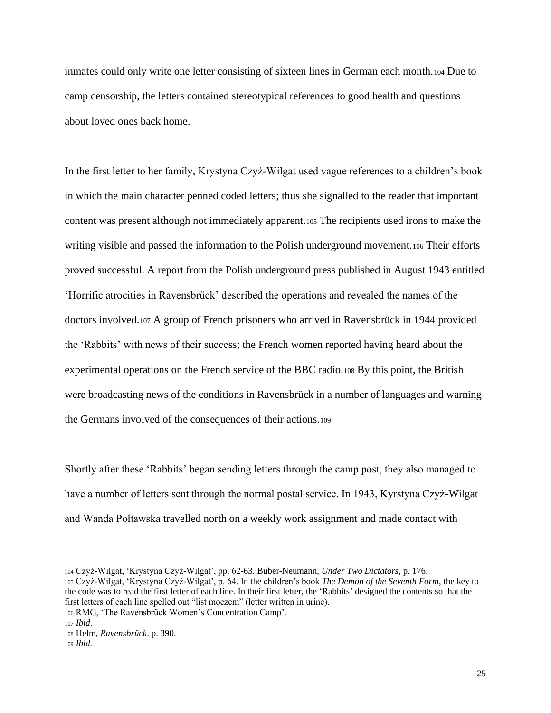inmates could only write one letter consisting of sixteen lines in German each month.<sup>104</sup> Due to camp censorship, the letters contained stereotypical references to good health and questions about loved ones back home.

In the first letter to her family, Krystyna Czyż-Wilgat used vague references to a children's book in which the main character penned coded letters; thus she signalled to the reader that important content was present although not immediately apparent.<sup>105</sup> The recipients used irons to make the writing visible and passed the information to the Polish underground movement.<sup>106</sup> Their efforts proved successful. A report from the Polish underground press published in August 1943 entitled 'Horrific atrocities in Ravensbrück' described the operations and revealed the names of the doctors involved.<sup>107</sup> A group of French prisoners who arrived in Ravensbrück in 1944 provided the 'Rabbits' with news of their success; the French women reported having heard about the experimental operations on the French service of the BBC radio.<sup>108</sup> By this point, the British were broadcasting news of the conditions in Ravensbrück in a number of languages and warning the Germans involved of the consequences of their actions.<sup>109</sup>

Shortly after these 'Rabbits' began sending letters through the camp post, they also managed to have a number of letters sent through the normal postal service. In 1943, Kyrstyna Czyż-Wilgat and Wanda Połtawska travelled north on a weekly work assignment and made contact with

<sup>104</sup> Czyż-Wilgat, 'Krystyna Czyż-Wilgat', pp. 62-63. Buber-Neumann, *Under Two Dictators*, p. 176. <sup>105</sup> Czyż-Wilgat, 'Krystyna Czyż-Wilgat', p. 64. In the children's book *The Demon of the Seventh Form*, the key to the code was to read the first letter of each line. In their first letter, the 'Rabbits' designed the contents so that the first letters of each line spelled out "list moczem" (letter written in urine).

<sup>106</sup> RMG, 'The Ravensbrück Women's Concentration Camp'.

<sup>107</sup> *Ibid*.

<sup>108</sup> Helm, *Ravensbrück*, p. 390.

<sup>109</sup> *Ibid.*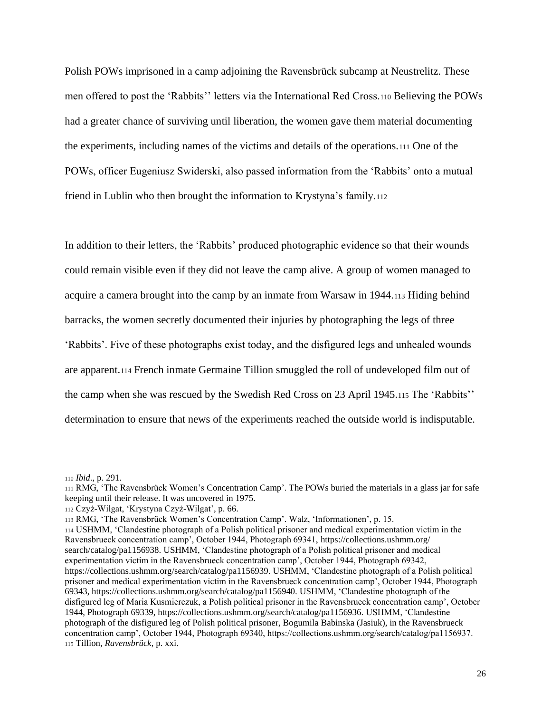Polish POWs imprisoned in a camp adjoining the Ravensbrück subcamp at Neustrelitz. These men offered to post the 'Rabbits'' letters via the International Red Cross.<sup>110</sup> Believing the POWs had a greater chance of surviving until liberation, the women gave them material documenting the experiments, including names of the victims and details of the operations.<sup>111</sup> One of the POWs, officer Eugeniusz Swiderski, also passed information from the 'Rabbits' onto a mutual friend in Lublin who then brought the information to Krystyna's family.<sup>112</sup>

In addition to their letters, the 'Rabbits' produced photographic evidence so that their wounds could remain visible even if they did not leave the camp alive. A group of women managed to acquire a camera brought into the camp by an inmate from Warsaw in 1944.<sup>113</sup> Hiding behind barracks, the women secretly documented their injuries by photographing the legs of three 'Rabbits'. Five of these photographs exist today, and the disfigured legs and unhealed wounds are apparent.<sup>114</sup> French inmate Germaine Tillion smuggled the roll of undeveloped film out of the camp when she was rescued by the Swedish Red Cross on 23 April 1945.<sup>115</sup> The 'Rabbits'' determination to ensure that news of the experiments reached the outside world is indisputable.

<sup>110</sup> *Ibid*., p. 291.

<sup>111</sup> RMG, 'The Ravensbrück Women's Concentration Camp'. The POWs buried the materials in a glass jar for safe keeping until their release. It was uncovered in 1975.

<sup>112</sup> Czyż-Wilgat, 'Krystyna Czyż-Wilgat', p. 66.

<sup>113</sup> RMG, 'The Ravensbrück Women's Concentration Camp'. Walz, 'Informationen', p. 15.

<sup>114</sup> USHMM, 'Clandestine photograph of a Polish political prisoner and medical experimentation victim in the Ravensbrueck concentration camp', October 1944, Photograph 69341, https://collections.ushmm.org/ search/catalog/pa1156938. USHMM, 'Clandestine photograph of a Polish political prisoner and medical experimentation victim in the Ravensbrueck concentration camp', October 1944, Photograph 69342, https://collections.ushmm.org/search/catalog/pa1156939. USHMM, 'Clandestine photograph of a Polish political prisoner and medical experimentation victim in the Ravensbrueck concentration camp', October 1944, Photograph 69343, https://collections.ushmm.org/search/catalog/pa1156940. USHMM, 'Clandestine photograph of the disfigured leg of Maria Kusmierczuk, a Polish political prisoner in the Ravensbrueck concentration camp', October 1944, Photograph 69339, https://collections.ushmm.org/search/catalog/pa1156936. USHMM, 'Clandestine photograph of the disfigured leg of Polish political prisoner, Bogumila Babinska (Jasiuk), in the Ravensbrueck concentration camp', October 1944, Photograph 69340, https://collections.ushmm.org/search/catalog/pa1156937. <sup>115</sup> Tillion, *Ravensbrück*, p. xxi.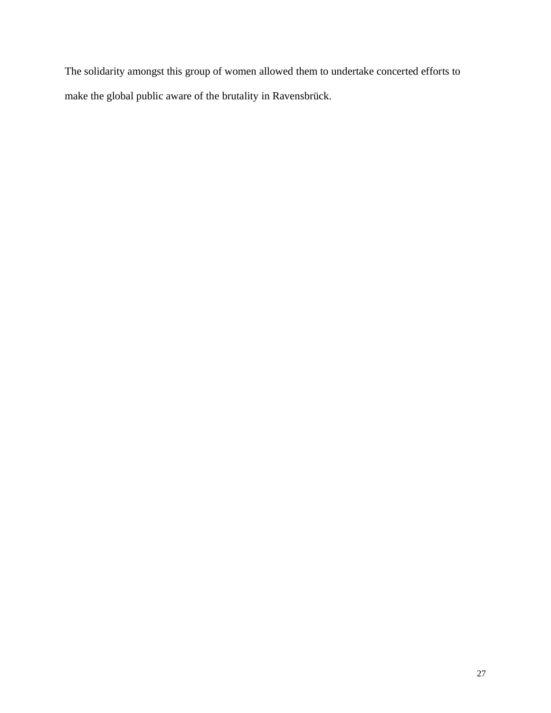The solidarity amongst this group of women allowed them to undertake concerted efforts to make the global public aware of the brutality in Ravensbrück.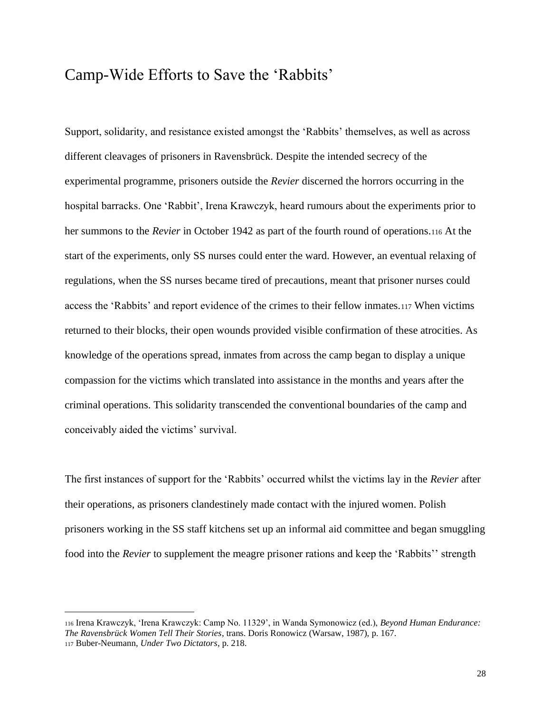### Camp-Wide Efforts to Save the 'Rabbits'

Support, solidarity, and resistance existed amongst the 'Rabbits' themselves, as well as across different cleavages of prisoners in Ravensbrück. Despite the intended secrecy of the experimental programme, prisoners outside the *Revier* discerned the horrors occurring in the hospital barracks. One 'Rabbit', Irena Krawczyk, heard rumours about the experiments prior to her summons to the *Revier* in October 1942 as part of the fourth round of operations.<sup>116</sup> At the start of the experiments, only SS nurses could enter the ward. However, an eventual relaxing of regulations, when the SS nurses became tired of precautions, meant that prisoner nurses could access the 'Rabbits' and report evidence of the crimes to their fellow inmates.<sup>117</sup> When victims returned to their blocks, their open wounds provided visible confirmation of these atrocities. As knowledge of the operations spread, inmates from across the camp began to display a unique compassion for the victims which translated into assistance in the months and years after the criminal operations. This solidarity transcended the conventional boundaries of the camp and conceivably aided the victims' survival.

The first instances of support for the 'Rabbits' occurred whilst the victims lay in the *Revier* after their operations, as prisoners clandestinely made contact with the injured women. Polish prisoners working in the SS staff kitchens set up an informal aid committee and began smuggling food into the *Revier* to supplement the meagre prisoner rations and keep the 'Rabbits'' strength

<sup>116</sup> Irena Krawczyk, 'Irena Krawczyk: Camp No. 11329', in Wanda Symonowicz (ed.), *Beyond Human Endurance: The Ravensbrück Women Tell Their Stories*, trans. Doris Ronowicz (Warsaw, 1987), p. 167. <sup>117</sup> Buber-Neumann, *Under Two Dictators*, p. 218.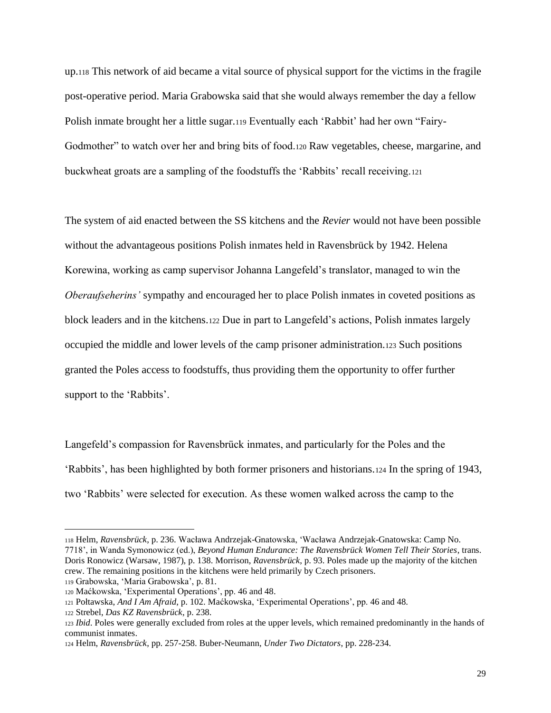up.<sup>118</sup> This network of aid became a vital source of physical support for the victims in the fragile post-operative period. Maria Grabowska said that she would always remember the day a fellow Polish inmate brought her a little sugar.<sup>119</sup> Eventually each 'Rabbit' had her own "Fairy-Godmother" to watch over her and bring bits of food.<sup>120</sup> Raw vegetables, cheese, margarine, and buckwheat groats are a sampling of the foodstuffs the 'Rabbits' recall receiving.<sup>121</sup>

The system of aid enacted between the SS kitchens and the *Revier* would not have been possible without the advantageous positions Polish inmates held in Ravensbrück by 1942. Helena Korewina, working as camp supervisor Johanna Langefeld's translator, managed to win the *Oberaufseherins'* sympathy and encouraged her to place Polish inmates in coveted positions as block leaders and in the kitchens.<sup>122</sup> Due in part to Langefeld's actions, Polish inmates largely occupied the middle and lower levels of the camp prisoner administration.<sup>123</sup> Such positions granted the Poles access to foodstuffs, thus providing them the opportunity to offer further support to the 'Rabbits'.

Langefeld's compassion for Ravensbrück inmates, and particularly for the Poles and the 'Rabbits', has been highlighted by both former prisoners and historians.<sup>124</sup> In the spring of 1943, two 'Rabbits' were selected for execution. As these women walked across the camp to the

<sup>118</sup> Helm, *Ravensbrück*, p. 236. Wacława Andrzejak-Gnatowska, 'Wacława Andrzejak-Gnatowska: Camp No. 7718', in Wanda Symonowicz (ed.), *Beyond Human Endurance: The Ravensbrück Women Tell Their Stories*, trans. Doris Ronowicz (Warsaw, 1987), p. 138. Morrison, *Ravensbrück*, p. 93. Poles made up the majority of the kitchen crew. The remaining positions in the kitchens were held primarily by Czech prisoners. <sup>119</sup> Grabowska, 'Maria Grabowska', p. 81.

<sup>120</sup> Maćkowska, 'Experimental Operations', pp. 46 and 48.

<sup>121</sup> Połtawska, *And I Am Afraid*, p. 102. Maćkowska, 'Experimental Operations', pp. 46 and 48.

<sup>122</sup> Strebel, *Das KZ Ravensbrück*, p. 238.

<sup>123</sup> *Ibid*. Poles were generally excluded from roles at the upper levels, which remained predominantly in the hands of communist inmates.

<sup>124</sup> Helm, *Ravensbrück*, pp. 257-258. Buber-Neumann, *Under Two Dictators*, pp. 228-234.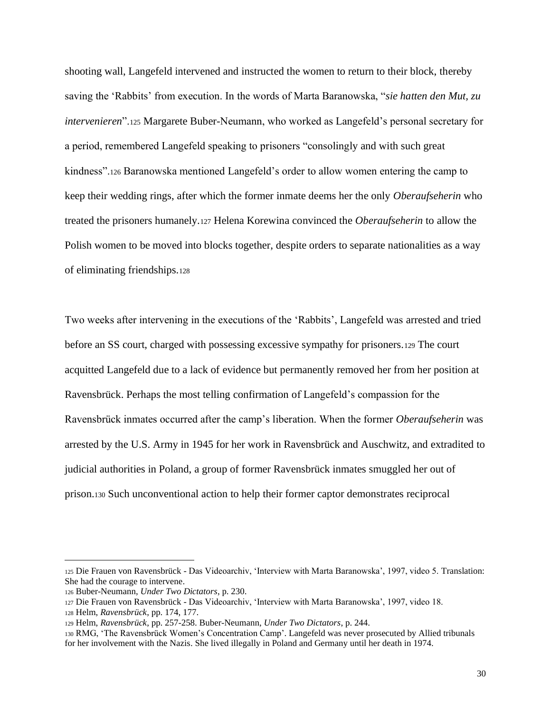shooting wall, Langefeld intervened and instructed the women to return to their block, thereby saving the 'Rabbits' from execution. In the words of Marta Baranowska, "*sie hatten den Mut, zu intervenieren*".<sup>125</sup> Margarete Buber-Neumann, who worked as Langefeld's personal secretary for a period, remembered Langefeld speaking to prisoners "consolingly and with such great kindness".<sup>126</sup> Baranowska mentioned Langefeld's order to allow women entering the camp to keep their wedding rings, after which the former inmate deems her the only *Oberaufseherin* who treated the prisoners humanely.<sup>127</sup> Helena Korewina convinced the *Oberaufseherin* to allow the Polish women to be moved into blocks together, despite orders to separate nationalities as a way of eliminating friendships.<sup>128</sup>

Two weeks after intervening in the executions of the 'Rabbits', Langefeld was arrested and tried before an SS court, charged with possessing excessive sympathy for prisoners.<sup>129</sup> The court acquitted Langefeld due to a lack of evidence but permanently removed her from her position at Ravensbrück. Perhaps the most telling confirmation of Langefeld's compassion for the Ravensbrück inmates occurred after the camp's liberation. When the former *Oberaufseherin* was arrested by the U.S. Army in 1945 for her work in Ravensbrück and Auschwitz, and extradited to judicial authorities in Poland, a group of former Ravensbrück inmates smuggled her out of prison.<sup>130</sup> Such unconventional action to help their former captor demonstrates reciprocal

<sup>125</sup> Die Frauen von Ravensbrück - Das Videoarchiv, 'Interview with Marta Baranowska', 1997, video 5. Translation: She had the courage to intervene.

<sup>126</sup> Buber-Neumann, *Under Two Dictators*, p. 230.

<sup>127</sup> Die Frauen von Ravensbrück - Das Videoarchiv, 'Interview with Marta Baranowska', 1997, video 18.

<sup>128</sup> Helm, *Ravensbrück*, pp. 174, 177.

<sup>129</sup> Helm, *Ravensbrück*, pp. 257-258. Buber-Neumann, *Under Two Dictators*, p. 244.

<sup>130</sup> RMG, 'The Ravensbrück Women's Concentration Camp'. Langefeld was never prosecuted by Allied tribunals for her involvement with the Nazis. She lived illegally in Poland and Germany until her death in 1974.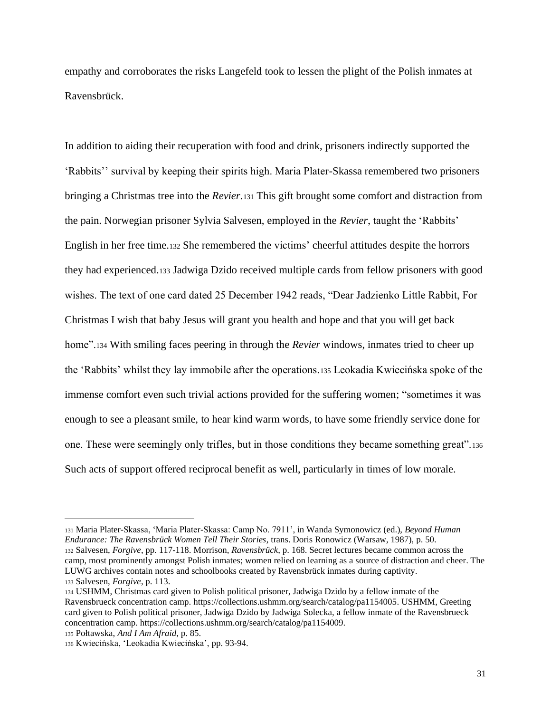empathy and corroborates the risks Langefeld took to lessen the plight of the Polish inmates at Ravensbrück.

In addition to aiding their recuperation with food and drink, prisoners indirectly supported the 'Rabbits'' survival by keeping their spirits high. Maria Plater-Skassa remembered two prisoners bringing a Christmas tree into the *Revier*.<sup>131</sup> This gift brought some comfort and distraction from the pain. Norwegian prisoner Sylvia Salvesen, employed in the *Revier*, taught the 'Rabbits' English in her free time.<sup>132</sup> She remembered the victims' cheerful attitudes despite the horrors they had experienced.<sup>133</sup> Jadwiga Dzido received multiple cards from fellow prisoners with good wishes. The text of one card dated 25 December 1942 reads, "Dear Jadzienko Little Rabbit, For Christmas I wish that baby Jesus will grant you health and hope and that you will get back home".<sup>134</sup> With smiling faces peering in through the *Revier* windows, inmates tried to cheer up the 'Rabbits' whilst they lay immobile after the operations.<sup>135</sup> Leokadia Kwiecińska spoke of the immense comfort even such trivial actions provided for the suffering women; "sometimes it was enough to see a pleasant smile, to hear kind warm words, to have some friendly service done for one. These were seemingly only trifles, but in those conditions they became something great".<sup>136</sup> Such acts of support offered reciprocal benefit as well, particularly in times of low morale.

<sup>131</sup> Maria Plater-Skassa, 'Maria Plater-Skassa: Camp No. 7911', in Wanda Symonowicz (ed.), *Beyond Human Endurance: The Ravensbrück Women Tell Their Stories*, trans. Doris Ronowicz (Warsaw, 1987), p. 50. <sup>132</sup> Salvesen, *Forgive*, pp. 117-118. Morrison, *Ravensbrück*, p. 168. Secret lectures became common across the camp, most prominently amongst Polish inmates; women relied on learning as a source of distraction and cheer. The LUWG archives contain notes and schoolbooks created by Ravensbrück inmates during captivity. <sup>133</sup> Salvesen, *Forgive*, p. 113.

<sup>134</sup> USHMM, Christmas card given to Polish political prisoner, Jadwiga Dzido by a fellow inmate of the Ravensbrueck concentration camp. https://collections.ushmm.org/search/catalog/pa1154005. USHMM, Greeting card given to Polish political prisoner, Jadwiga Dzido by Jadwiga Solecka, a fellow inmate of the Ravensbrueck concentration camp. https://collections.ushmm.org/search/catalog/pa1154009.

<sup>135</sup> Połtawska, *And I Am Afraid*, p. 85.

<sup>136</sup> Kwiecińska, 'Leokadia Kwiecińska', pp. 93-94.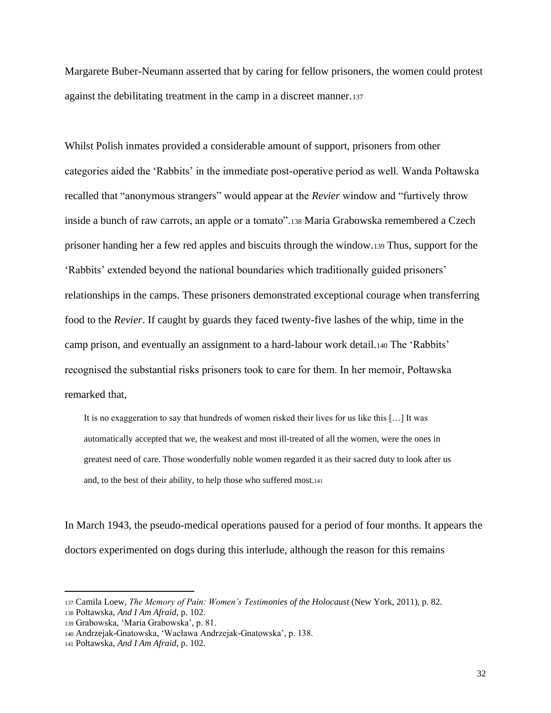Margarete Buber-Neumann asserted that by caring for fellow prisoners, the women could protest against the debilitating treatment in the camp in a discreet manner.<sup>137</sup>

Whilst Polish inmates provided a considerable amount of support, prisoners from other categories aided the 'Rabbits' in the immediate post-operative period as well. Wanda Połtawska recalled that "anonymous strangers" would appear at the *Revier* window and "furtively throw inside a bunch of raw carrots, an apple or a tomato".<sup>138</sup> Maria Grabowska remembered a Czech prisoner handing her a few red apples and biscuits through the window.<sup>139</sup> Thus, support for the 'Rabbits' extended beyond the national boundaries which traditionally guided prisoners' relationships in the camps. These prisoners demonstrated exceptional courage when transferring food to the *Revier*. If caught by guards they faced twenty-five lashes of the whip, time in the camp prison, and eventually an assignment to a hard-labour work detail.<sup>140</sup> The 'Rabbits' recognised the substantial risks prisoners took to care for them. In her memoir, Połtawska remarked that,

It is no exaggeration to say that hundreds of women risked their lives for us like this […] It was automatically accepted that we, the weakest and most ill-treated of all the women, were the ones in greatest need of care. Those wonderfully noble women regarded it as their sacred duty to look after us and, to the best of their ability, to help those who suffered most.<sup>141</sup>

In March 1943, the pseudo-medical operations paused for a period of four months. It appears the doctors experimented on dogs during this interlude, although the reason for this remains

<sup>137</sup> Camila Loew, *The Memory of Pain: Women's Testimonies of the Holocaust* (New York, 2011), p. 82.

<sup>138</sup> Połtawska, *And I Am Afraid*, p. 102.

<sup>139</sup> Grabowska, 'Maria Grabowska', p. 81.

<sup>140</sup> Andrzejak-Gnatowska, 'Wacława Andrzejak-Gnatowska', p. 138.

<sup>141</sup> Połtawska, *And I Am Afraid*, p. 102.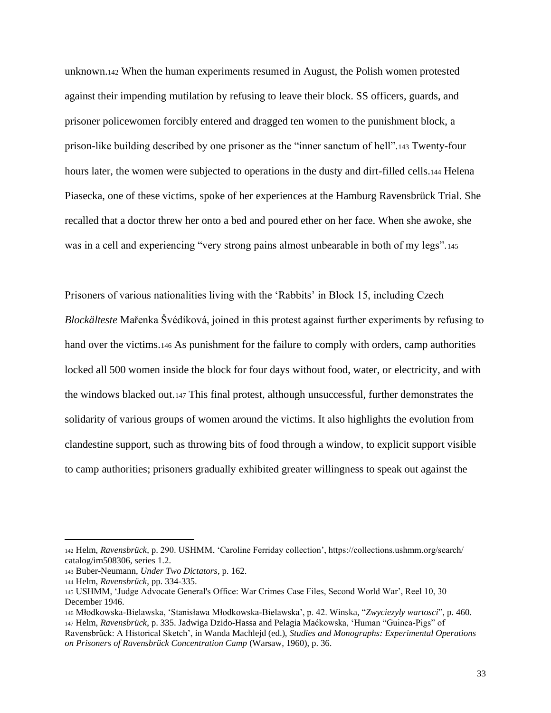unknown.<sup>142</sup> When the human experiments resumed in August, the Polish women protested against their impending mutilation by refusing to leave their block. SS officers, guards, and prisoner policewomen forcibly entered and dragged ten women to the punishment block, a prison-like building described by one prisoner as the "inner sanctum of hell".<sup>143</sup> Twenty-four hours later, the women were subjected to operations in the dusty and dirt-filled cells.<sup>144</sup> Helena Piasecka, one of these victims, spoke of her experiences at the Hamburg Ravensbrück Trial. She recalled that a doctor threw her onto a bed and poured ether on her face. When she awoke, she was in a cell and experiencing "very strong pains almost unbearable in both of my legs".<sup>145</sup>

Prisoners of various nationalities living with the 'Rabbits' in Block 15, including Czech *Blockälteste* Mařenka Švédíková, joined in this protest against further experiments by refusing to hand over the victims.<sup>146</sup> As punishment for the failure to comply with orders, camp authorities locked all 500 women inside the block for four days without food, water, or electricity, and with the windows blacked out.<sup>147</sup> This final protest, although unsuccessful, further demonstrates the solidarity of various groups of women around the victims. It also highlights the evolution from clandestine support, such as throwing bits of food through a window, to explicit support visible to camp authorities; prisoners gradually exhibited greater willingness to speak out against the

<sup>142</sup> Helm, *Ravensbrück*, p. 290. USHMM, 'Caroline Ferriday collection', https://collections.ushmm.org/search/ catalog/irn508306, series 1.2.

<sup>143</sup> Buber-Neumann, *Under Two Dictators*, p. 162.

<sup>144</sup> Helm, *Ravensbrück*, pp. 334-335.

<sup>145</sup> USHMM, 'Judge Advocate General's Office: War Crimes Case Files, Second World War', Reel 10, 30 December 1946.

<sup>146</sup> Młodkowska-Bielawska, 'Stanisława Młodkowska-Bielawska', p. 42. Winska, "*Zwyciezyly wartosci*"*,* p. 460.

<sup>147</sup> Helm, *Ravensbrück*, p. 335. Jadwiga Dzido-Hassa and Pelagia Maćkowska, 'Human "Guinea-Pigs" of Ravensbrück: A Historical Sketch', in Wanda Machlejd (ed.), *Studies and Monographs: Experimental Operations on Prisoners of Ravensbrück Concentration Camp* (Warsaw, 1960), p. 36.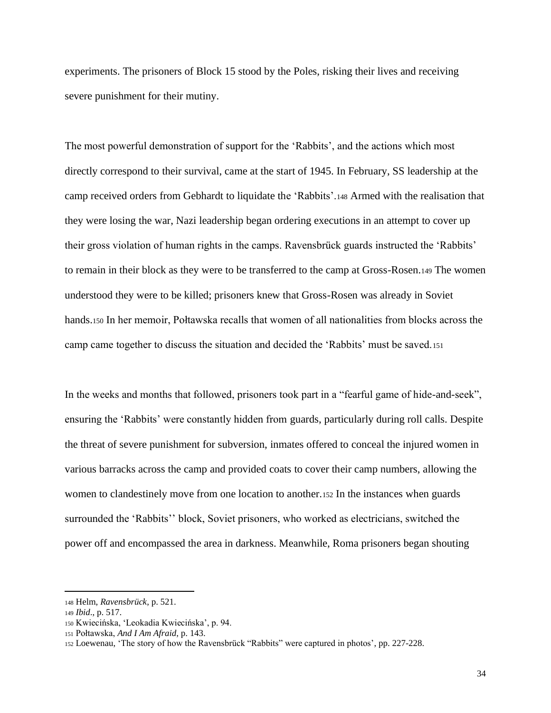experiments. The prisoners of Block 15 stood by the Poles, risking their lives and receiving severe punishment for their mutiny.

The most powerful demonstration of support for the 'Rabbits', and the actions which most directly correspond to their survival, came at the start of 1945. In February, SS leadership at the camp received orders from Gebhardt to liquidate the 'Rabbits'.<sup>148</sup> Armed with the realisation that they were losing the war, Nazi leadership began ordering executions in an attempt to cover up their gross violation of human rights in the camps. Ravensbrück guards instructed the 'Rabbits' to remain in their block as they were to be transferred to the camp at Gross-Rosen.<sup>149</sup> The women understood they were to be killed; prisoners knew that Gross-Rosen was already in Soviet hands.<sup>150</sup> In her memoir, Połtawska recalls that women of all nationalities from blocks across the camp came together to discuss the situation and decided the 'Rabbits' must be saved.<sup>151</sup>

In the weeks and months that followed, prisoners took part in a "fearful game of hide-and-seek", ensuring the 'Rabbits' were constantly hidden from guards, particularly during roll calls. Despite the threat of severe punishment for subversion, inmates offered to conceal the injured women in various barracks across the camp and provided coats to cover their camp numbers, allowing the women to clandestinely move from one location to another.<sup>152</sup> In the instances when guards surrounded the 'Rabbits'' block, Soviet prisoners, who worked as electricians, switched the power off and encompassed the area in darkness. Meanwhile, Roma prisoners began shouting

<sup>148</sup> Helm, *Ravensbrück*, p. 521.

<sup>149</sup> *Ibid*., p. 517.

<sup>150</sup> Kwiecińska, 'Leokadia Kwiecińska', p. 94.

<sup>151</sup> Połtawska, *And I Am Afraid*, p. 143.

<sup>152</sup> Loewenau, 'The story of how the Ravensbrück "Rabbits" were captured in photos', pp. 227-228.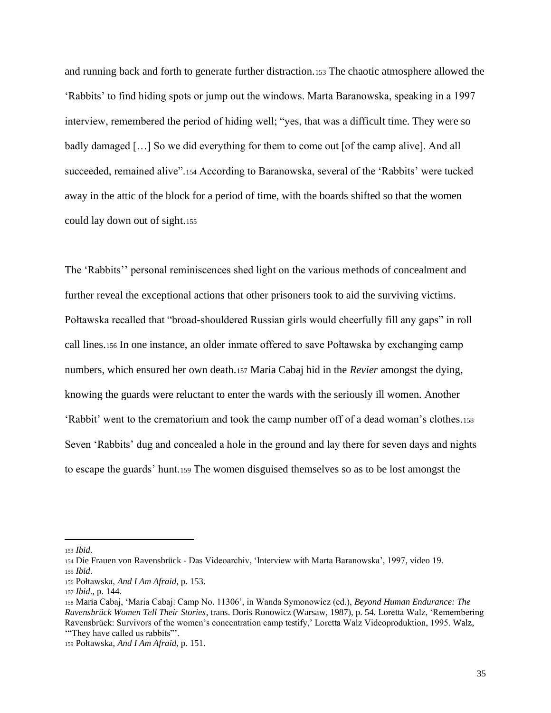and running back and forth to generate further distraction.<sup>153</sup> The chaotic atmosphere allowed the 'Rabbits' to find hiding spots or jump out the windows. Marta Baranowska, speaking in a 1997 interview, remembered the period of hiding well; "yes, that was a difficult time. They were so badly damaged […] So we did everything for them to come out [of the camp alive]. And all succeeded, remained alive".<sup>154</sup> According to Baranowska, several of the 'Rabbits' were tucked away in the attic of the block for a period of time, with the boards shifted so that the women could lay down out of sight.<sup>155</sup>

The 'Rabbits'' personal reminiscences shed light on the various methods of concealment and further reveal the exceptional actions that other prisoners took to aid the surviving victims. Połtawska recalled that "broad-shouldered Russian girls would cheerfully fill any gaps" in roll call lines.<sup>156</sup> In one instance, an older inmate offered to save Połtawska by exchanging camp numbers, which ensured her own death.<sup>157</sup> Maria Cabaj hid in the *Revier* amongst the dying, knowing the guards were reluctant to enter the wards with the seriously ill women. Another 'Rabbit' went to the crematorium and took the camp number off of a dead woman's clothes.<sup>158</sup> Seven 'Rabbits' dug and concealed a hole in the ground and lay there for seven days and nights to escape the guards' hunt.<sup>159</sup> The women disguised themselves so as to be lost amongst the

<sup>153</sup> *Ibid*.

<sup>154</sup> Die Frauen von Ravensbrück - Das Videoarchiv, 'Interview with Marta Baranowska', 1997, video 19. <sup>155</sup> *Ibid*.

<sup>156</sup> Połtawska, *And I Am Afraid*, p. 153.

<sup>157</sup> *Ibid*., p. 144.

<sup>158</sup> Maria Cabaj, 'Maria Cabaj: Camp No. 11306', in Wanda Symonowicz (ed.), *Beyond Human Endurance: The Ravensbrück Women Tell Their Stories*, trans. Doris Ronowicz (Warsaw, 1987), p. 54. Loretta Walz, 'Remembering Ravensbrück: Survivors of the women's concentration camp testify,' Loretta Walz Videoproduktion, 1995. Walz, '"They have called us rabbits"'.

<sup>159</sup> Połtawska, *And I Am Afraid*, p. 151.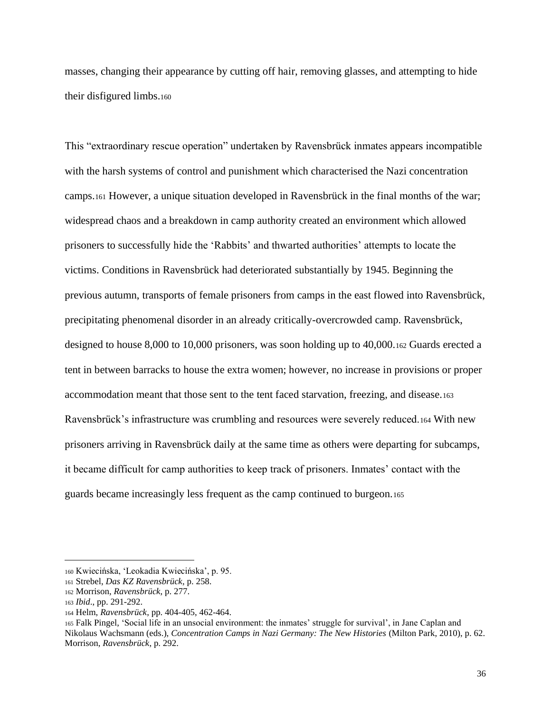masses, changing their appearance by cutting off hair, removing glasses, and attempting to hide their disfigured limbs.<sup>160</sup>

This "extraordinary rescue operation" undertaken by Ravensbrück inmates appears incompatible with the harsh systems of control and punishment which characterised the Nazi concentration camps.<sup>161</sup> However, a unique situation developed in Ravensbrück in the final months of the war; widespread chaos and a breakdown in camp authority created an environment which allowed prisoners to successfully hide the 'Rabbits' and thwarted authorities' attempts to locate the victims. Conditions in Ravensbrück had deteriorated substantially by 1945. Beginning the previous autumn, transports of female prisoners from camps in the east flowed into Ravensbrück, precipitating phenomenal disorder in an already critically-overcrowded camp. Ravensbrück, designed to house 8,000 to 10,000 prisoners, was soon holding up to 40,000.<sup>162</sup> Guards erected a tent in between barracks to house the extra women; however, no increase in provisions or proper accommodation meant that those sent to the tent faced starvation, freezing, and disease.<sup>163</sup> Ravensbrück's infrastructure was crumbling and resources were severely reduced.<sup>164</sup> With new prisoners arriving in Ravensbrück daily at the same time as others were departing for subcamps, it became difficult for camp authorities to keep track of prisoners. Inmates' contact with the guards became increasingly less frequent as the camp continued to burgeon.<sup>165</sup>

<sup>160</sup> Kwiecińska, 'Leokadia Kwiecińska', p. 95.

<sup>161</sup> Strebel, *Das KZ Ravensbrück*, p. 258.

<sup>162</sup> Morrison, *Ravensbrück*, p. 277.

<sup>163</sup> *Ibid*., pp. 291-292.

<sup>164</sup> Helm, *Ravensbrück*, pp. 404-405, 462-464.

<sup>165</sup> Falk Pingel, 'Social life in an unsocial environment: the inmates' struggle for survival', in Jane Caplan and Nikolaus Wachsmann (eds.), *Concentration Camps in Nazi Germany: The New Histories* (Milton Park, 2010), p. 62. Morrison, *Ravensbrück*, p. 292.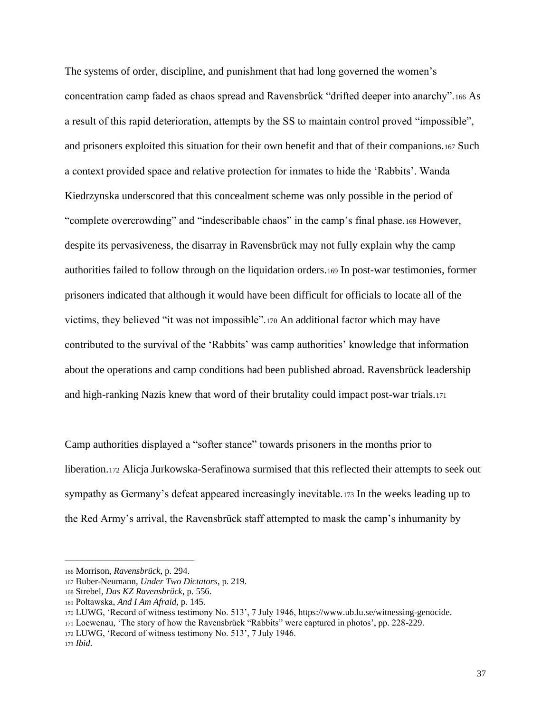The systems of order, discipline, and punishment that had long governed the women's concentration camp faded as chaos spread and Ravensbrück "drifted deeper into anarchy".<sup>166</sup> As a result of this rapid deterioration, attempts by the SS to maintain control proved "impossible", and prisoners exploited this situation for their own benefit and that of their companions.<sup>167</sup> Such a context provided space and relative protection for inmates to hide the 'Rabbits'. Wanda Kiedrzynska underscored that this concealment scheme was only possible in the period of "complete overcrowding" and "indescribable chaos" in the camp's final phase.<sup>168</sup> However, despite its pervasiveness, the disarray in Ravensbrück may not fully explain why the camp authorities failed to follow through on the liquidation orders.<sup>169</sup> In post-war testimonies, former prisoners indicated that although it would have been difficult for officials to locate all of the victims, they believed "it was not impossible".<sup>170</sup> An additional factor which may have contributed to the survival of the 'Rabbits' was camp authorities' knowledge that information about the operations and camp conditions had been published abroad. Ravensbrück leadership and high-ranking Nazis knew that word of their brutality could impact post-war trials.<sup>171</sup>

Camp authorities displayed a "softer stance" towards prisoners in the months prior to liberation.<sup>172</sup> Alicja Jurkowska-Serafinowa surmised that this reflected their attempts to seek out sympathy as Germany's defeat appeared increasingly inevitable.<sup>173</sup> In the weeks leading up to the Red Army's arrival, the Ravensbrück staff attempted to mask the camp's inhumanity by

<sup>166</sup> Morrison, *Ravensbrück*, p. 294.

<sup>167</sup> Buber-Neumann, *Under Two Dictators*, p. 219.

<sup>168</sup> Strebel, *Das KZ Ravensbrück*, p. 556.

<sup>169</sup> Połtawska, *And I Am Afraid*, p. 145.

<sup>170</sup> LUWG, 'Record of witness testimony No. 513', 7 July 1946, https://www.ub.lu.se/witnessing-genocide.

<sup>171</sup> Loewenau, 'The story of how the Ravensbrück "Rabbits" were captured in photos', pp. 228-229.

<sup>172</sup> LUWG, 'Record of witness testimony No. 513', 7 July 1946.

<sup>173</sup> *Ibid*.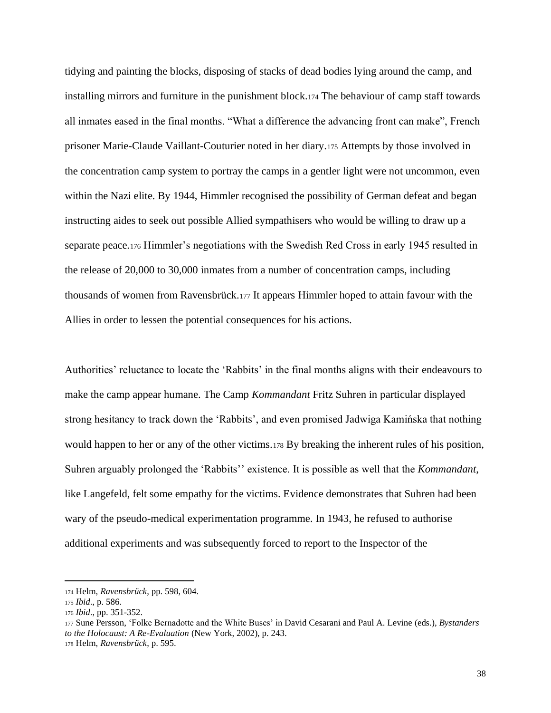tidying and painting the blocks, disposing of stacks of dead bodies lying around the camp, and installing mirrors and furniture in the punishment block.<sup>174</sup> The behaviour of camp staff towards all inmates eased in the final months. "What a difference the advancing front can make", French prisoner Marie-Claude Vaillant-Couturier noted in her diary.<sup>175</sup> Attempts by those involved in the concentration camp system to portray the camps in a gentler light were not uncommon, even within the Nazi elite. By 1944, Himmler recognised the possibility of German defeat and began instructing aides to seek out possible Allied sympathisers who would be willing to draw up a separate peace.<sup>176</sup> Himmler's negotiations with the Swedish Red Cross in early 1945 resulted in the release of 20,000 to 30,000 inmates from a number of concentration camps, including thousands of women from Ravensbrück.<sup>177</sup> It appears Himmler hoped to attain favour with the Allies in order to lessen the potential consequences for his actions.

Authorities' reluctance to locate the 'Rabbits' in the final months aligns with their endeavours to make the camp appear humane. The Camp *Kommandant* Fritz Suhren in particular displayed strong hesitancy to track down the 'Rabbits', and even promised Jadwiga Kamińska that nothing would happen to her or any of the other victims.<sup>178</sup> By breaking the inherent rules of his position, Suhren arguably prolonged the 'Rabbits'' existence. It is possible as well that the *Kommandant*, like Langefeld, felt some empathy for the victims. Evidence demonstrates that Suhren had been wary of the pseudo-medical experimentation programme. In 1943, he refused to authorise additional experiments and was subsequently forced to report to the Inspector of the

<sup>174</sup> Helm, *Ravensbrück*, pp. 598, 604.

<sup>175</sup> *Ibid*., p. 586.

<sup>176</sup> *Ibid*., pp. 351-352.

<sup>177</sup> Sune Persson, 'Folke Bernadotte and the White Buses' in David Cesarani and Paul A. Levine (eds.), *Bystanders to the Holocaust: A Re-Evaluation* (New York, 2002), p. 243.

<sup>178</sup> Helm, *Ravensbrück*, p. 595.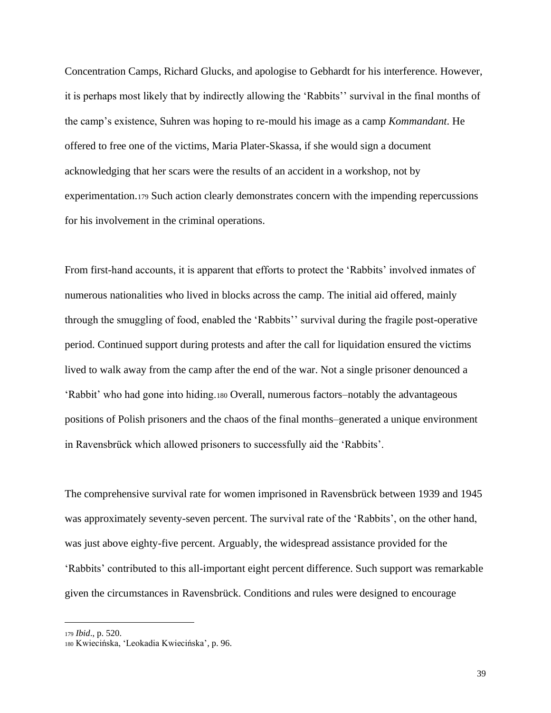Concentration Camps, Richard Glucks, and apologise to Gebhardt for his interference. However, it is perhaps most likely that by indirectly allowing the 'Rabbits'' survival in the final months of the camp's existence, Suhren was hoping to re-mould his image as a camp *Kommandant*. He offered to free one of the victims, Maria Plater-Skassa, if she would sign a document acknowledging that her scars were the results of an accident in a workshop, not by experimentation.<sup>179</sup> Such action clearly demonstrates concern with the impending repercussions for his involvement in the criminal operations.

From first-hand accounts, it is apparent that efforts to protect the 'Rabbits' involved inmates of numerous nationalities who lived in blocks across the camp. The initial aid offered, mainly through the smuggling of food, enabled the 'Rabbits'' survival during the fragile post-operative period. Continued support during protests and after the call for liquidation ensured the victims lived to walk away from the camp after the end of the war. Not a single prisoner denounced a 'Rabbit' who had gone into hiding.<sup>180</sup> Overall, numerous factors–notably the advantageous positions of Polish prisoners and the chaos of the final months–generated a unique environment in Ravensbrück which allowed prisoners to successfully aid the 'Rabbits'.

The comprehensive survival rate for women imprisoned in Ravensbrück between 1939 and 1945 was approximately seventy-seven percent. The survival rate of the 'Rabbits', on the other hand, was just above eighty-five percent. Arguably, the widespread assistance provided for the 'Rabbits' contributed to this all-important eight percent difference. Such support was remarkable given the circumstances in Ravensbrück. Conditions and rules were designed to encourage

<sup>179</sup> *Ibid*., p. 520.

<sup>180</sup> Kwiecińska, 'Leokadia Kwiecińska', p. 96.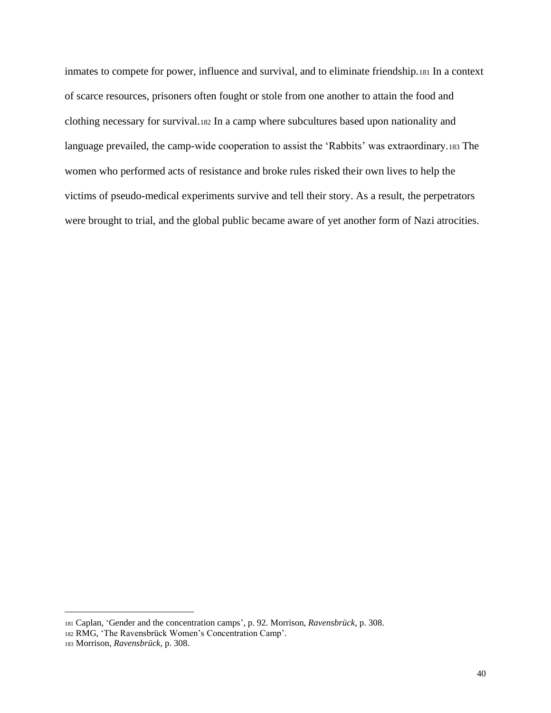inmates to compete for power, influence and survival, and to eliminate friendship.<sup>181</sup> In a context of scarce resources, prisoners often fought or stole from one another to attain the food and clothing necessary for survival.<sup>182</sup> In a camp where subcultures based upon nationality and language prevailed, the camp-wide cooperation to assist the 'Rabbits' was extraordinary.<sup>183</sup> The women who performed acts of resistance and broke rules risked their own lives to help the victims of pseudo-medical experiments survive and tell their story. As a result, the perpetrators were brought to trial, and the global public became aware of yet another form of Nazi atrocities.

<sup>181</sup> Caplan, 'Gender and the concentration camps', p. 92. Morrison, *Ravensbrück*, p. 308.

<sup>182</sup> RMG, 'The Ravensbrück Women's Concentration Camp'.

<sup>183</sup> Morrison, *Ravensbrück*, p. 308.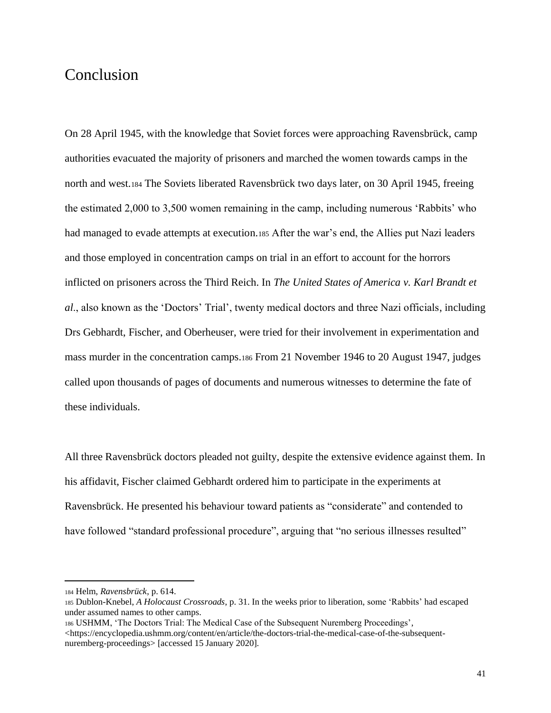### Conclusion

On 28 April 1945, with the knowledge that Soviet forces were approaching Ravensbrück, camp authorities evacuated the majority of prisoners and marched the women towards camps in the north and west.<sup>184</sup> The Soviets liberated Ravensbrück two days later, on 30 April 1945, freeing the estimated 2,000 to 3,500 women remaining in the camp, including numerous 'Rabbits' who had managed to evade attempts at execution.<sup>185</sup> After the war's end, the Allies put Nazi leaders and those employed in concentration camps on trial in an effort to account for the horrors inflicted on prisoners across the Third Reich. In *The United States of America v. Karl Brandt et al*., also known as the 'Doctors' Trial', twenty medical doctors and three Nazi officials, including Drs Gebhardt, Fischer, and Oberheuser, were tried for their involvement in experimentation and mass murder in the concentration camps.<sup>186</sup> From 21 November 1946 to 20 August 1947, judges called upon thousands of pages of documents and numerous witnesses to determine the fate of these individuals.

All three Ravensbrück doctors pleaded not guilty, despite the extensive evidence against them. In his affidavit, Fischer claimed Gebhardt ordered him to participate in the experiments at Ravensbrück. He presented his behaviour toward patients as "considerate" and contended to have followed "standard professional procedure", arguing that "no serious illnesses resulted"

<sup>184</sup> Helm, *Ravensbrück*, p. 614.

<sup>185</sup> Dublon-Knebel, *A Holocaust Crossroads*, p. 31. In the weeks prior to liberation, some 'Rabbits' had escaped under assumed names to other camps.

<sup>186</sup> USHMM, 'The Doctors Trial: The Medical Case of the Subsequent Nuremberg Proceedings', <https://encyclopedia.ushmm.org/content/en/article/the-doctors-trial-the-medical-case-of-the-subsequentnuremberg-proceedings> [accessed 15 January 2020].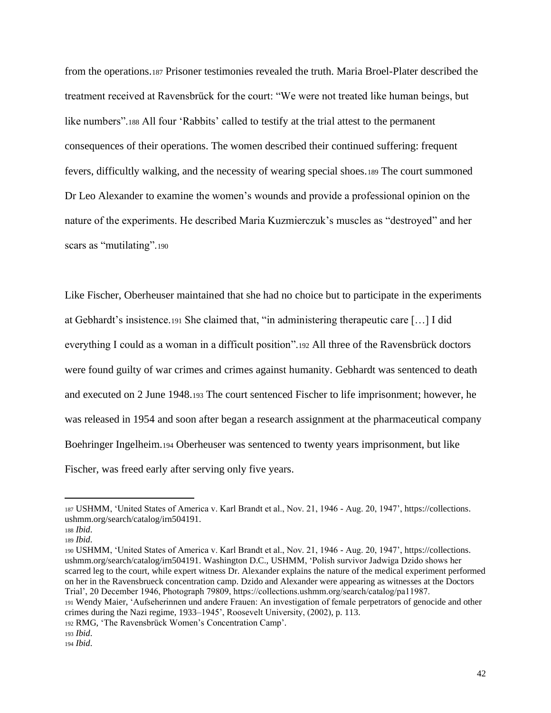from the operations.<sup>187</sup> Prisoner testimonies revealed the truth. Maria Broel-Plater described the treatment received at Ravensbrück for the court: "We were not treated like human beings, but like numbers".<sup>188</sup> All four 'Rabbits' called to testify at the trial attest to the permanent consequences of their operations. The women described their continued suffering: frequent fevers, difficultly walking, and the necessity of wearing special shoes.<sup>189</sup> The court summoned Dr Leo Alexander to examine the women's wounds and provide a professional opinion on the nature of the experiments. He described Maria Kuzmierczuk's muscles as "destroyed" and her scars as "mutilating".190

Like Fischer, Oberheuser maintained that she had no choice but to participate in the experiments at Gebhardt's insistence.<sup>191</sup> She claimed that, "in administering therapeutic care […] I did everything I could as a woman in a difficult position".<sup>192</sup> All three of the Ravensbrück doctors were found guilty of war crimes and crimes against humanity. Gebhardt was sentenced to death and executed on 2 June 1948.<sup>193</sup> The court sentenced Fischer to life imprisonment; however, he was released in 1954 and soon after began a research assignment at the pharmaceutical company Boehringer Ingelheim.<sup>194</sup> Oberheuser was sentenced to twenty years imprisonment, but like Fischer, was freed early after serving only five years.

<sup>187</sup> USHMM, 'United States of America v. Karl Brandt et al., Nov. 21, 1946 - Aug. 20, 1947', https://collections. ushmm.org/search/catalog/irn504191.

<sup>188</sup> *Ibid*.

<sup>189</sup> *Ibid*.

<sup>190</sup> USHMM, 'United States of America v. Karl Brandt et al., Nov. 21, 1946 - Aug. 20, 1947', https://collections. ushmm.org/search/catalog/irn504191. Washington D.C., USHMM, 'Polish survivor Jadwiga Dzido shows her scarred leg to the court, while expert witness Dr. Alexander explains the nature of the medical experiment performed on her in the Ravensbrueck concentration camp. Dzido and Alexander were appearing as witnesses at the Doctors Trial', 20 December 1946, Photograph 79809, https://collections.ushmm.org/search/catalog/pa11987. <sup>191</sup> Wendy Maier, 'Aufseherinnen und andere Frauen: An investigation of female perpetrators of genocide and other crimes during the Nazi regime, 1933–1945', Roosevelt University, (2002), p. 113.

<sup>192</sup> RMG, 'The Ravensbrück Women's Concentration Camp'.

<sup>193</sup> *Ibid*.

<sup>194</sup> *Ibid*.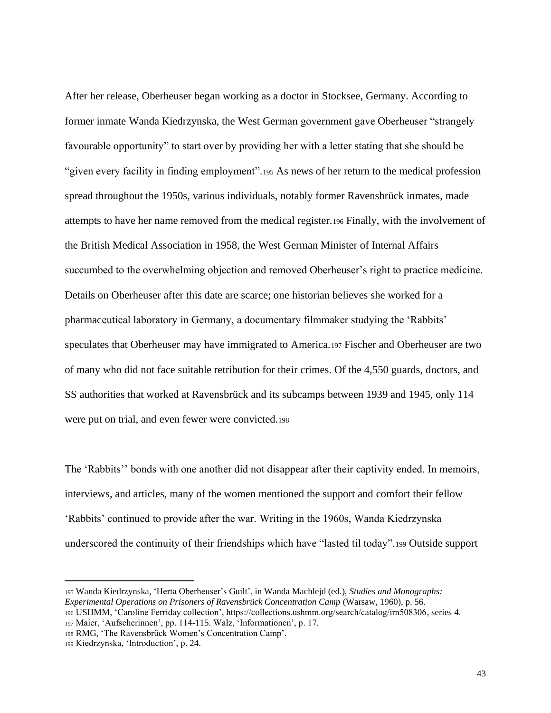After her release, Oberheuser began working as a doctor in Stocksee, Germany. According to former inmate Wanda Kiedrzynska, the West German government gave Oberheuser "strangely favourable opportunity" to start over by providing her with a letter stating that she should be "given every facility in finding employment".<sup>195</sup> As news of her return to the medical profession spread throughout the 1950s, various individuals, notably former Ravensbrück inmates, made attempts to have her name removed from the medical register.<sup>196</sup> Finally, with the involvement of the British Medical Association in 1958, the West German Minister of Internal Affairs succumbed to the overwhelming objection and removed Oberheuser's right to practice medicine. Details on Oberheuser after this date are scarce; one historian believes she worked for a pharmaceutical laboratory in Germany, a documentary filmmaker studying the 'Rabbits' speculates that Oberheuser may have immigrated to America.<sup>197</sup> Fischer and Oberheuser are two of many who did not face suitable retribution for their crimes. Of the 4,550 guards, doctors, and SS authorities that worked at Ravensbrück and its subcamps between 1939 and 1945, only 114 were put on trial, and even fewer were convicted.<sup>198</sup>

The 'Rabbits'' bonds with one another did not disappear after their captivity ended. In memoirs, interviews, and articles, many of the women mentioned the support and comfort their fellow 'Rabbits' continued to provide after the war. Writing in the 1960s, Wanda Kiedrzynska underscored the continuity of their friendships which have "lasted til today".<sup>199</sup> Outside support

<sup>198</sup> RMG, 'The Ravensbrück Women's Concentration Camp'.

<sup>195</sup> Wanda Kiedrzynska, 'Herta Oberheuser's Guilt', in Wanda Machlejd (ed.), *Studies and Monographs: Experimental Operations on Prisoners of Ravensbrück Concentration Camp* (Warsaw, 1960), p. 56.

<sup>196</sup> USHMM, 'Caroline Ferriday collection', https://collections.ushmm.org/search/catalog/irn508306, series 4. <sup>197</sup> Maier, 'Aufseherinnen', pp. 114-115. Walz, 'Informationen', p. 17.

<sup>199</sup> Kiedrzynska, 'Introduction', p. 24.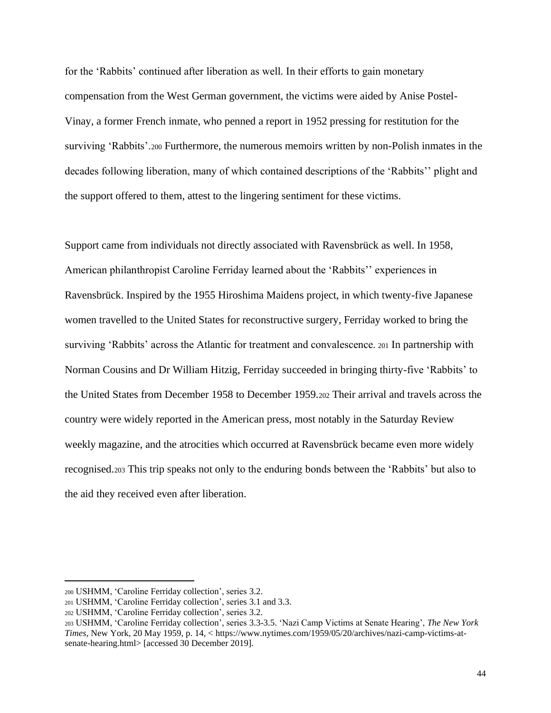for the 'Rabbits' continued after liberation as well. In their efforts to gain monetary compensation from the West German government, the victims were aided by Anise Postel-Vinay, a former French inmate, who penned a report in 1952 pressing for restitution for the surviving 'Rabbits'.<sup>200</sup> Furthermore, the numerous memoirs written by non-Polish inmates in the decades following liberation, many of which contained descriptions of the 'Rabbits'' plight and the support offered to them, attest to the lingering sentiment for these victims.

Support came from individuals not directly associated with Ravensbrück as well. In 1958, American philanthropist Caroline Ferriday learned about the 'Rabbits'' experiences in Ravensbrück. Inspired by the 1955 Hiroshima Maidens project, in which twenty-five Japanese women travelled to the United States for reconstructive surgery, Ferriday worked to bring the surviving 'Rabbits' across the Atlantic for treatment and convalescence. <sup>201</sup> In partnership with Norman Cousins and Dr William Hitzig, Ferriday succeeded in bringing thirty-five 'Rabbits' to the United States from December 1958 to December 1959.<sup>202</sup> Their arrival and travels across the country were widely reported in the American press, most notably in the Saturday Review weekly magazine, and the atrocities which occurred at Ravensbrück became even more widely recognised.<sup>203</sup> This trip speaks not only to the enduring bonds between the 'Rabbits' but also to the aid they received even after liberation.

<sup>200</sup> USHMM, 'Caroline Ferriday collection', series 3.2.

<sup>201</sup> USHMM, 'Caroline Ferriday collection', series 3.1 and 3.3.

<sup>202</sup> USHMM, 'Caroline Ferriday collection', series 3.2.

<sup>203</sup> USHMM, 'Caroline Ferriday collection', series 3.3-3.5. 'Nazi Camp Victims at Senate Hearing', *The New York Times,* New York, 20 May 1959, p. 14, < https://www.nytimes.com/1959/05/20/archives/nazi-camp-victims-atsenate-hearing.html> [accessed 30 December 2019].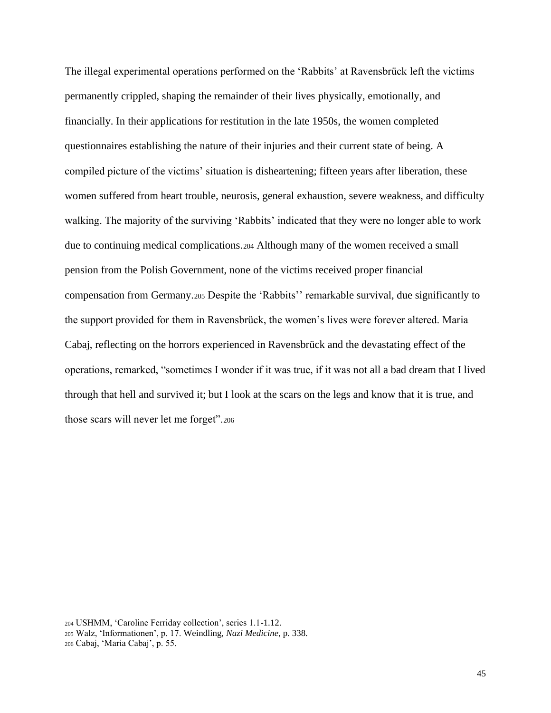The illegal experimental operations performed on the 'Rabbits' at Ravensbrück left the victims permanently crippled, shaping the remainder of their lives physically, emotionally, and financially. In their applications for restitution in the late 1950s, the women completed questionnaires establishing the nature of their injuries and their current state of being. A compiled picture of the victims' situation is disheartening; fifteen years after liberation, these women suffered from heart trouble, neurosis, general exhaustion, severe weakness, and difficulty walking. The majority of the surviving 'Rabbits' indicated that they were no longer able to work due to continuing medical complications.<sup>204</sup> Although many of the women received a small pension from the Polish Government, none of the victims received proper financial compensation from Germany.<sup>205</sup> Despite the 'Rabbits'' remarkable survival, due significantly to the support provided for them in Ravensbrück, the women's lives were forever altered. Maria Cabaj, reflecting on the horrors experienced in Ravensbrück and the devastating effect of the operations, remarked, "sometimes I wonder if it was true, if it was not all a bad dream that I lived through that hell and survived it; but I look at the scars on the legs and know that it is true, and those scars will never let me forget".<sup>206</sup>

<sup>204</sup> USHMM, 'Caroline Ferriday collection', series 1.1-1.12.

<sup>205</sup> Walz, 'Informationen', p. 17. Weindling, *Nazi Medicine*, p. 338.

<sup>206</sup> Cabaj, 'Maria Cabaj', p. 55.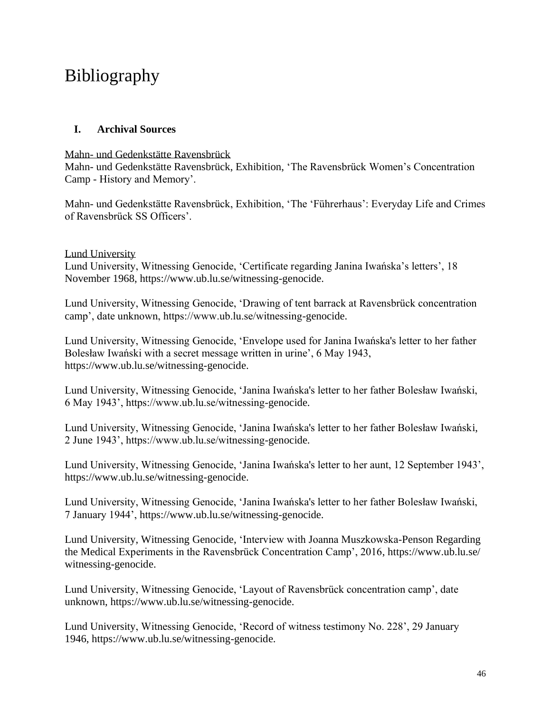## Bibliography

### **I. Archival Sources**

Mahn- und Gedenkstätte Ravensbrück

Mahn- und Gedenkstätte Ravensbrück, Exhibition, 'The Ravensbrück Women's Concentration Camp - History and Memory'.

Mahn- und Gedenkstätte Ravensbrück, Exhibition, 'The 'Führerhaus': Everyday Life and Crimes of Ravensbrück SS Officers'.

### Lund University

Lund University, Witnessing Genocide, 'Certificate regarding Janina Iwańska's letters', 18 November 1968, https://www.ub.lu.se/witnessing-genocide.

Lund University, Witnessing Genocide, 'Drawing of tent barrack at Ravensbrück concentration camp', date unknown, https://www.ub.lu.se/witnessing-genocide.

Lund University, Witnessing Genocide, 'Envelope used for Janina Iwańska's letter to her father Bolesław Iwański with a secret message written in urine', 6 May 1943, https://www.ub.lu.se/witnessing-genocide.

Lund University, Witnessing Genocide, 'Janina Iwańska's letter to her father Bolesław Iwański, 6 May 1943', https://www.ub.lu.se/witnessing-genocide.

Lund University, Witnessing Genocide, 'Janina Iwańska's letter to her father Bolesław Iwański, 2 June 1943', https://www.ub.lu.se/witnessing-genocide.

Lund University, Witnessing Genocide, 'Janina Iwańska's letter to her aunt, 12 September 1943', https://www.ub.lu.se/witnessing-genocide.

Lund University, Witnessing Genocide, 'Janina Iwańska's letter to her father Bolesław Iwański, 7 January 1944', https://www.ub.lu.se/witnessing-genocide.

Lund University, Witnessing Genocide, 'Interview with Joanna Muszkowska-Penson Regarding the Medical Experiments in the Ravensbrück Concentration Camp', 2016, https://www.ub.lu.se/ witnessing-genocide.

Lund University, Witnessing Genocide, 'Layout of Ravensbrück concentration camp', date unknown, https://www.ub.lu.se/witnessing-genocide.

Lund University, Witnessing Genocide, 'Record of witness testimony No. 228', 29 January 1946, https://www.ub.lu.se/witnessing-genocide.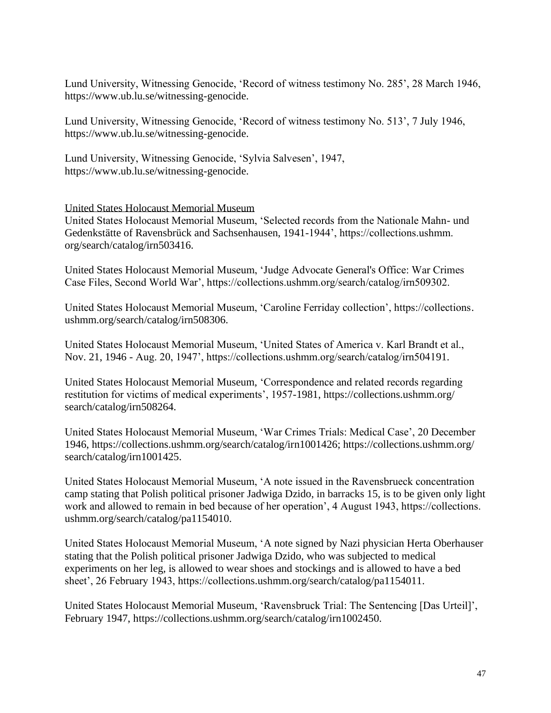Lund University, Witnessing Genocide, 'Record of witness testimony No. 285', 28 March 1946, https://www.ub.lu.se/witnessing-genocide.

Lund University, Witnessing Genocide, 'Record of witness testimony No. 513', 7 July 1946, https://www.ub.lu.se/witnessing-genocide.

Lund University, Witnessing Genocide, 'Sylvia Salvesen', 1947, https://www.ub.lu.se/witnessing-genocide.

United States Holocaust Memorial Museum

United States Holocaust Memorial Museum, 'Selected records from the Nationale Mahn- und Gedenkstätte of Ravensbrück and Sachsenhausen, 1941-1944', https://collections.ushmm. org/search/catalog/irn503416.

United States Holocaust Memorial Museum, 'Judge Advocate General's Office: War Crimes Case Files, Second World War', https://collections.ushmm.org/search/catalog/irn509302.

United States Holocaust Memorial Museum, 'Caroline Ferriday collection', https://collections. ushmm.org/search/catalog/irn508306.

United States Holocaust Memorial Museum, 'United States of America v. Karl Brandt et al., Nov. 21, 1946 - Aug. 20, 1947', https://collections.ushmm.org/search/catalog/irn504191.

United States Holocaust Memorial Museum, 'Correspondence and related records regarding restitution for victims of medical experiments', 1957-1981, https://collections.ushmm.org/ search/catalog/irn508264.

United States Holocaust Memorial Museum, 'War Crimes Trials: Medical Case', 20 December 1946, https://collections.ushmm.org/search/catalog/irn1001426; https://collections.ushmm.org/ search/catalog/irn1001425.

United States Holocaust Memorial Museum, 'A note issued in the Ravensbrueck concentration camp stating that Polish political prisoner Jadwiga Dzido, in barracks 15, is to be given only light work and allowed to remain in bed because of her operation', 4 August 1943, https://collections. ushmm.org/search/catalog/pa1154010.

United States Holocaust Memorial Museum, 'A note signed by Nazi physician Herta Oberhauser stating that the Polish political prisoner Jadwiga Dzido, who was subjected to medical experiments on her leg, is allowed to wear shoes and stockings and is allowed to have a bed sheet', 26 February 1943, https://collections.ushmm.org/search/catalog/pa1154011.

United States Holocaust Memorial Museum, 'Ravensbruck Trial: The Sentencing [Das Urteil]', February 1947, https://collections.ushmm.org/search/catalog/irn1002450.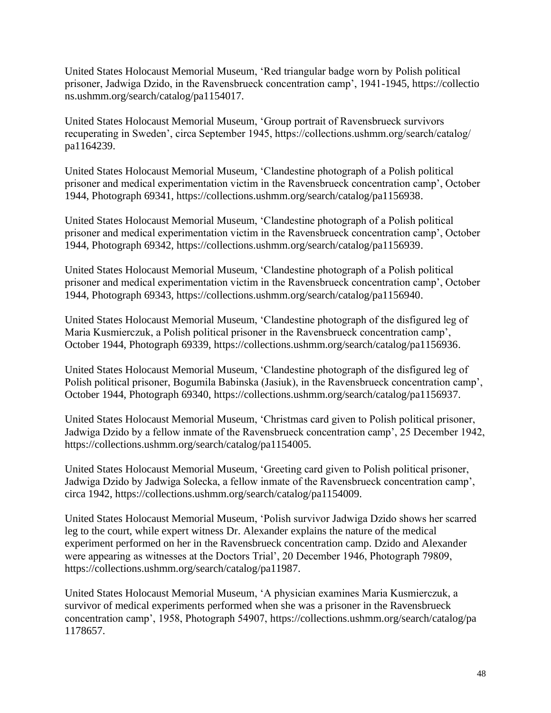United States Holocaust Memorial Museum, 'Red triangular badge worn by Polish political prisoner, Jadwiga Dzido, in the Ravensbrueck concentration camp', 1941-1945, https://collectio ns.ushmm.org/search/catalog/pa1154017.

United States Holocaust Memorial Museum, 'Group portrait of Ravensbrueck survivors recuperating in Sweden', circa September 1945, https://collections.ushmm.org/search/catalog/ pa1164239.

United States Holocaust Memorial Museum, 'Clandestine photograph of a Polish political prisoner and medical experimentation victim in the Ravensbrueck concentration camp', October 1944, Photograph 69341, https://collections.ushmm.org/search/catalog/pa1156938.

United States Holocaust Memorial Museum, 'Clandestine photograph of a Polish political prisoner and medical experimentation victim in the Ravensbrueck concentration camp', October 1944, Photograph 69342, https://collections.ushmm.org/search/catalog/pa1156939.

United States Holocaust Memorial Museum, 'Clandestine photograph of a Polish political prisoner and medical experimentation victim in the Ravensbrueck concentration camp', October 1944, Photograph 69343, https://collections.ushmm.org/search/catalog/pa1156940.

United States Holocaust Memorial Museum, 'Clandestine photograph of the disfigured leg of Maria Kusmierczuk, a Polish political prisoner in the Ravensbrueck concentration camp', October 1944, Photograph 69339, https://collections.ushmm.org/search/catalog/pa1156936.

United States Holocaust Memorial Museum, 'Clandestine photograph of the disfigured leg of Polish political prisoner, Bogumila Babinska (Jasiuk), in the Ravensbrueck concentration camp', October 1944, Photograph 69340, https://collections.ushmm.org/search/catalog/pa1156937.

United States Holocaust Memorial Museum, 'Christmas card given to Polish political prisoner, Jadwiga Dzido by a fellow inmate of the Ravensbrueck concentration camp', 25 December 1942, https://collections.ushmm.org/search/catalog/pa1154005.

United States Holocaust Memorial Museum, 'Greeting card given to Polish political prisoner, Jadwiga Dzido by Jadwiga Solecka, a fellow inmate of the Ravensbrueck concentration camp', circa 1942, https://collections.ushmm.org/search/catalog/pa1154009.

United States Holocaust Memorial Museum, 'Polish survivor Jadwiga Dzido shows her scarred leg to the court, while expert witness Dr. Alexander explains the nature of the medical experiment performed on her in the Ravensbrueck concentration camp. Dzido and Alexander were appearing as witnesses at the Doctors Trial', 20 December 1946, Photograph 79809, https://collections.ushmm.org/search/catalog/pa11987.

United States Holocaust Memorial Museum, 'A physician examines Maria Kusmierczuk, a survivor of medical experiments performed when she was a prisoner in the Ravensbrueck concentration camp', 1958, Photograph 54907, https://collections.ushmm.org/search/catalog/pa 1178657.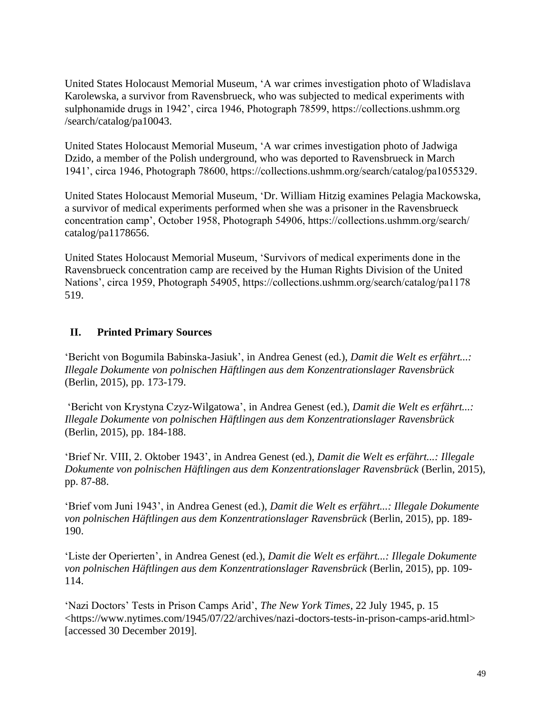United States Holocaust Memorial Museum, 'A war crimes investigation photo of Wladislava Karolewska, a survivor from Ravensbrueck, who was subjected to medical experiments with sulphonamide drugs in 1942', circa 1946, Photograph 78599, https://collections.ushmm.org /search/catalog/pa10043.

United States Holocaust Memorial Museum, 'A war crimes investigation photo of Jadwiga Dzido, a member of the Polish underground, who was deported to Ravensbrueck in March 1941', circa 1946, Photograph 78600, https://collections.ushmm.org/search/catalog/pa1055329.

United States Holocaust Memorial Museum, 'Dr. William Hitzig examines Pelagia Mackowska, a survivor of medical experiments performed when she was a prisoner in the Ravensbrueck concentration camp', October 1958, Photograph 54906, https://collections.ushmm.org/search/ catalog/pa1178656.

United States Holocaust Memorial Museum, 'Survivors of medical experiments done in the Ravensbrueck concentration camp are received by the Human Rights Division of the United Nations', circa 1959, Photograph 54905, https://collections.ushmm.org/search/catalog/pa1178 519.

### **II. Printed Primary Sources**

'Bericht von Bogumila Babinska-Jasiuk', in Andrea Genest (ed.), *Damit die Welt es erfährt...: Illegale Dokumente von polnischen Häftlingen aus dem Konzentrationslager Ravensbrück* (Berlin, 2015), pp. 173-179.

'Bericht von Krystyna Czyz-Wilgatowa', in Andrea Genest (ed.), *Damit die Welt es erfährt...: Illegale Dokumente von polnischen Häftlingen aus dem Konzentrationslager Ravensbrück* (Berlin, 2015), pp. 184-188.

'Brief Nr. VIII, 2. Oktober 1943', in Andrea Genest (ed.), *Damit die Welt es erfährt...: Illegale Dokumente von polnischen Häftlingen aus dem Konzentrationslager Ravensbrück* (Berlin, 2015), pp. 87-88.

'Brief vom Juni 1943', in Andrea Genest (ed.), *Damit die Welt es erfährt...: Illegale Dokumente von polnischen Häftlingen aus dem Konzentrationslager Ravensbrück* (Berlin, 2015), pp. 189- 190.

'Liste der Operierten', in Andrea Genest (ed.), *Damit die Welt es erfährt...: Illegale Dokumente von polnischen Häftlingen aus dem Konzentrationslager Ravensbrück* (Berlin, 2015), pp. 109- 114.

'Nazi Doctors' Tests in Prison Camps Arid', *The New York Times*, 22 July 1945, p. 15 <https://www.nytimes.com/1945/07/22/archives/nazi-doctors-tests-in-prison-camps-arid.html> [accessed 30 December 2019].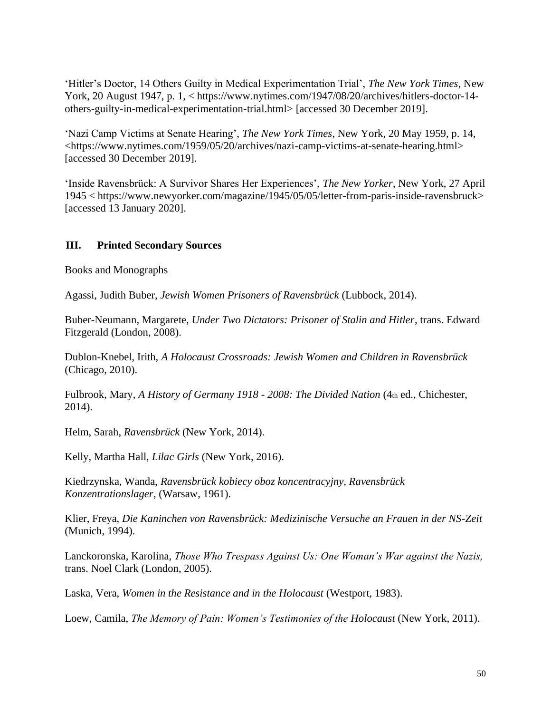'Hitler's Doctor, 14 Others Guilty in Medical Experimentation Trial', *The New York Times*, New York, 20 August 1947, p. 1, < https://www.nytimes.com/1947/08/20/archives/hitlers-doctor-14others-guilty-in-medical-experimentation-trial.html> [accessed 30 December 2019].

'Nazi Camp Victims at Senate Hearing', *The New York Times*, New York, 20 May 1959, p. 14, <https://www.nytimes.com/1959/05/20/archives/nazi-camp-victims-at-senate-hearing.html> [accessed 30 December 2019].

'Inside Ravensbrück: A Survivor Shares Her Experiences', *The New Yorker*, New York, 27 April 1945 < https://www.newyorker.com/magazine/1945/05/05/letter-from-paris-inside-ravensbruck> [accessed 13 January 2020].

### **III. Printed Secondary Sources**

Books and Monographs

Agassi, Judith Buber, *Jewish Women Prisoners of Ravensbrück* (Lubbock, 2014).

Buber-Neumann, Margarete, *Under Two Dictators: Prisoner of Stalin and Hitler*, trans. Edward Fitzgerald (London, 2008).

Dublon-Knebel, Irith, *A Holocaust Crossroads: Jewish Women and Children in Ravensbrück* (Chicago, 2010).

Fulbrook, Mary, *A History of Germany 1918 - 2008: The Divided Nation* (4th ed., Chichester, 2014).

Helm, Sarah, *Ravensbrück* (New York, 2014).

Kelly, Martha Hall, *Lilac Girls* (New York, 2016).

Kiedrzynska, Wanda, *Ravensbrück kobiecy oboz koncentracyjny, Ravensbrück Konzentrationslager*, (Warsaw, 1961).

Klier, Freya, *Die Kaninchen von Ravensbrück: Medizinische Versuche an Frauen in der NS-Zeit* (Munich, 1994).

Lanckoronska, Karolina, *Those Who Trespass Against Us: One Woman's War against the Nazis,*  trans. Noel Clark (London, 2005).

Laska, Vera, *Women in the Resistance and in the Holocaust* (Westport, 1983).

Loew, Camila, *The Memory of Pain: Women's Testimonies of the Holocaust* (New York, 2011).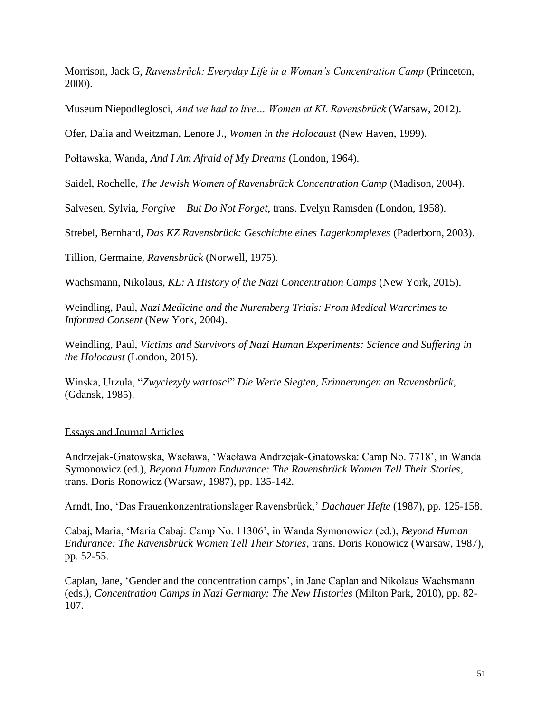Morrison, Jack G, *Ravensbrück: Everyday Life in a Woman's Concentration Camp* (Princeton, 2000).

Museum Niepodleglosci, *And we had to live… Women at KL Ravensbrück* (Warsaw, 2012).

Ofer, Dalia and Weitzman, Lenore J., *Women in the Holocaust* (New Haven, 1999).

Połtawska, Wanda, *And I Am Afraid of My Dreams* (London, 1964).

Saidel, Rochelle, *The Jewish Women of Ravensbrück Concentration Camp* (Madison, 2004).

Salvesen, Sylvia, *Forgive – But Do Not Forget,* trans. Evelyn Ramsden (London, 1958).

Strebel, Bernhard, *Das KZ Ravensbrück: Geschichte eines Lagerkomplexes* (Paderborn, 2003).

Tillion, Germaine, *Ravensbrück* (Norwell, 1975).

Wachsmann, Nikolaus*, KL: A History of the Nazi Concentration Camps* (New York, 2015).

Weindling, Paul, *Nazi Medicine and the Nuremberg Trials: From Medical Warcrimes to Informed Consent* (New York, 2004).

Weindling, Paul, *Victims and Survivors of Nazi Human Experiments: Science and Suffering in the Holocaust* (London, 2015).

Winska, Urzula, "*Zwyciezyly wartosci*" *Die Werte Siegten, Erinnerungen an Ravensbrück*, (Gdansk, 1985).

#### Essays and Journal Articles

Andrzejak-Gnatowska, Wacława, 'Wacława Andrzejak-Gnatowska: Camp No. 7718', in Wanda Symonowicz (ed.), *Beyond Human Endurance: The Ravensbrück Women Tell Their Stories*, trans. Doris Ronowicz (Warsaw, 1987), pp. 135-142.

Arndt, Ino, 'Das Frauenkonzentrationslager Ravensbrück,' *Dachauer Hefte* (1987), pp. 125-158.

Cabaj, Maria, 'Maria Cabaj: Camp No. 11306', in Wanda Symonowicz (ed.), *Beyond Human Endurance: The Ravensbrück Women Tell Their Stories*, trans. Doris Ronowicz (Warsaw, 1987), pp. 52-55.

Caplan, Jane, 'Gender and the concentration camps', in Jane Caplan and Nikolaus Wachsmann (eds.), *Concentration Camps in Nazi Germany: The New Histories* (Milton Park, 2010), pp. 82- 107.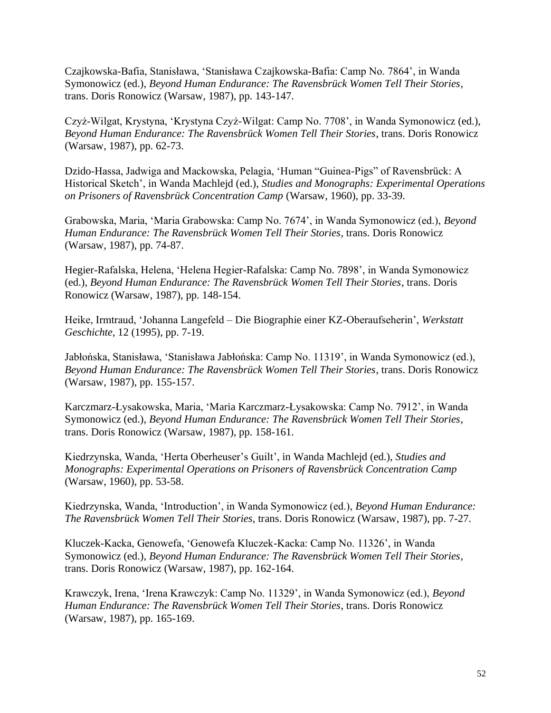Czajkowska-Bafia, Stanisława, 'Stanisława Czajkowska-Bafia: Camp No. 7864', in Wanda Symonowicz (ed.), *Beyond Human Endurance: The Ravensbrück Women Tell Their Stories*, trans. Doris Ronowicz (Warsaw, 1987), pp. 143-147.

Czyż-Wilgat, Krystyna, 'Krystyna Czyż-Wilgat: Camp No. 7708', in Wanda Symonowicz (ed.), *Beyond Human Endurance: The Ravensbrück Women Tell Their Stories*, trans. Doris Ronowicz (Warsaw, 1987), pp. 62-73.

Dzido-Hassa, Jadwiga and Mackowska, Pelagia, 'Human "Guinea-Pigs" of Ravensbrück: A Historical Sketch', in Wanda Machlejd (ed.), *Studies and Monographs: Experimental Operations on Prisoners of Ravensbrück Concentration Camp* (Warsaw, 1960), pp. 33-39.

Grabowska, Maria, 'Maria Grabowska: Camp No. 7674', in Wanda Symonowicz (ed.), *Beyond Human Endurance: The Ravensbrück Women Tell Their Stories*, trans. Doris Ronowicz (Warsaw, 1987), pp. 74-87.

Hegier-Rafalska, Helena, 'Helena Hegier-Rafalska: Camp No. 7898', in Wanda Symonowicz (ed.), *Beyond Human Endurance: The Ravensbrück Women Tell Their Stories*, trans. Doris Ronowicz (Warsaw, 1987), pp. 148-154.

Heike, Irmtraud, 'Johanna Langefeld – Die Biographie einer KZ-Oberaufseherin', *Werkstatt Geschichte*, 12 (1995), pp. 7-19.

Jabłońska, Stanisława, 'Stanisława Jabłońska: Camp No. 11319', in Wanda Symonowicz (ed.), *Beyond Human Endurance: The Ravensbrück Women Tell Their Stories*, trans. Doris Ronowicz (Warsaw, 1987), pp. 155-157.

Karczmarz-Łysakowska, Maria, 'Maria Karczmarz-Łysakowska: Camp No. 7912', in Wanda Symonowicz (ed.), *Beyond Human Endurance: The Ravensbrück Women Tell Their Stories*, trans. Doris Ronowicz (Warsaw, 1987), pp. 158-161.

Kiedrzynska, Wanda, 'Herta Oberheuser's Guilt', in Wanda Machlejd (ed.), *Studies and Monographs: Experimental Operations on Prisoners of Ravensbrück Concentration Camp* (Warsaw, 1960), pp. 53-58.

Kiedrzynska, Wanda, 'Introduction', in Wanda Symonowicz (ed.), *Beyond Human Endurance: The Ravensbrück Women Tell Their Stories*, trans. Doris Ronowicz (Warsaw, 1987), pp. 7-27.

Kluczek-Kacka, Genowefa, 'Genowefa Kluczek-Kacka: Camp No. 11326', in Wanda Symonowicz (ed.), *Beyond Human Endurance: The Ravensbrück Women Tell Their Stories*, trans. Doris Ronowicz (Warsaw, 1987), pp. 162-164.

Krawczyk, Irena, 'Irena Krawczyk: Camp No. 11329', in Wanda Symonowicz (ed.), *Beyond Human Endurance: The Ravensbrück Women Tell Their Stories*, trans. Doris Ronowicz (Warsaw, 1987), pp. 165-169.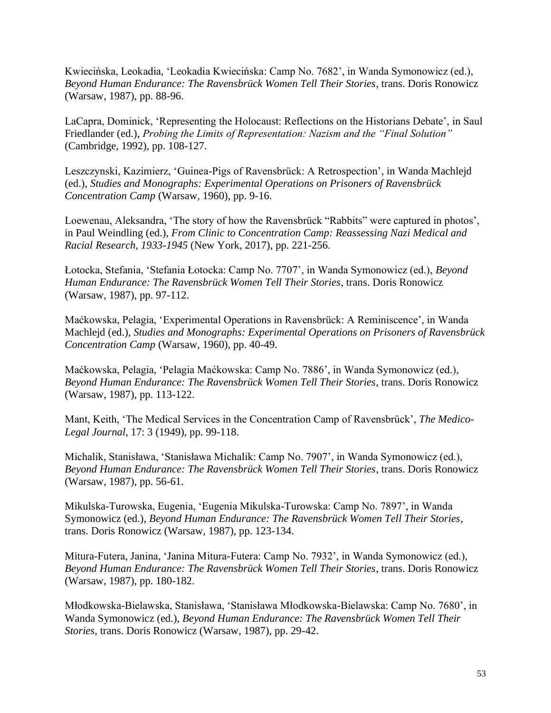Kwiecińska, Leokadia, 'Leokadia Kwiecińska: Camp No. 7682', in Wanda Symonowicz (ed.), *Beyond Human Endurance: The Ravensbrück Women Tell Their Stories*, trans. Doris Ronowicz (Warsaw, 1987), pp. 88-96.

LaCapra, Dominick, 'Representing the Holocaust: Reflections on the Historians Debate', in Saul Friedlander (ed.), *Probing the Limits of Representation: Nazism and the "Final Solution"* (Cambridge, 1992), pp. 108-127.

Leszczynski, Kazimierz, 'Guinea-Pigs of Ravensbrück: A Retrospection', in Wanda Machlejd (ed.), *Studies and Monographs: Experimental Operations on Prisoners of Ravensbrück Concentration Camp* (Warsaw, 1960), pp. 9-16.

Loewenau, Aleksandra, 'The story of how the Ravensbrück "Rabbits" were captured in photos', in Paul Weindling (ed.), *From Clinic to Concentration Camp: Reassessing Nazi Medical and Racial Research, 1933-1945* (New York, 2017), pp. 221-256.

Łotocka, Stefania, 'Stefania Łotocka: Camp No. 7707', in Wanda Symonowicz (ed.), *Beyond Human Endurance: The Ravensbrück Women Tell Their Stories*, trans. Doris Ronowicz (Warsaw, 1987), pp. 97-112.

Maćkowska, Pelagia, 'Experimental Operations in Ravensbrück: A Reminiscence', in Wanda Machlejd (ed.), *Studies and Monographs: Experimental Operations on Prisoners of Ravensbrück Concentration Camp* (Warsaw, 1960), pp. 40-49.

Maćkowska, Pelagia, 'Pelagia Maćkowska: Camp No. 7886', in Wanda Symonowicz (ed.), *Beyond Human Endurance: The Ravensbrück Women Tell Their Stories*, trans. Doris Ronowicz (Warsaw, 1987), pp. 113-122.

Mant, Keith, 'The Medical Services in the Concentration Camp of Ravensbrück', *The Medico-Legal Journal*, 17: 3 (1949), pp. 99-118.

Michalik, Stanisława, 'Stanisława Michalik: Camp No. 7907', in Wanda Symonowicz (ed.), *Beyond Human Endurance: The Ravensbrück Women Tell Their Stories*, trans. Doris Ronowicz (Warsaw, 1987), pp. 56-61.

Mikulska-Turowska, Eugenia, 'Eugenia Mikulska-Turowska: Camp No. 7897', in Wanda Symonowicz (ed.), *Beyond Human Endurance: The Ravensbrück Women Tell Their Stories*, trans. Doris Ronowicz (Warsaw, 1987), pp. 123-134.

Mitura-Futera, Janina, 'Janina Mitura-Futera: Camp No. 7932', in Wanda Symonowicz (ed.), *Beyond Human Endurance: The Ravensbrück Women Tell Their Stories*, trans. Doris Ronowicz (Warsaw, 1987), pp. 180-182.

Młodkowska-Bielawska, Stanisława, 'Stanisława Młodkowska-Bielawska: Camp No. 7680', in Wanda Symonowicz (ed.), *Beyond Human Endurance: The Ravensbrück Women Tell Their Stories*, trans. Doris Ronowicz (Warsaw, 1987), pp. 29-42.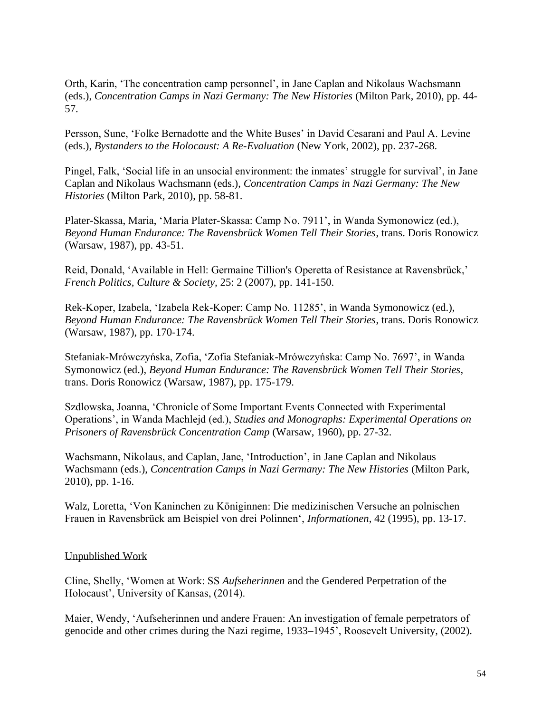Orth, Karin, 'The concentration camp personnel', in Jane Caplan and Nikolaus Wachsmann (eds.), *Concentration Camps in Nazi Germany: The New Histories* (Milton Park, 2010), pp. 44- 57.

Persson, Sune, 'Folke Bernadotte and the White Buses' in David Cesarani and Paul A. Levine (eds.), *Bystanders to the Holocaust: A Re-Evaluation* (New York, 2002), pp. 237-268.

Pingel, Falk, 'Social life in an unsocial environment: the inmates' struggle for survival', in Jane Caplan and Nikolaus Wachsmann (eds.), *Concentration Camps in Nazi Germany: The New Histories* (Milton Park, 2010), pp. 58-81.

Plater-Skassa, Maria, 'Maria Plater-Skassa: Camp No. 7911', in Wanda Symonowicz (ed.), *Beyond Human Endurance: The Ravensbrück Women Tell Their Stories*, trans. Doris Ronowicz (Warsaw, 1987), pp. 43-51.

Reid, Donald, 'Available in Hell: Germaine Tillion's Operetta of Resistance at Ravensbrück,' *French Politics, Culture & Society,* 25: 2 (2007), pp. 141-150.

Rek-Koper, Izabela, 'Izabela Rek-Koper: Camp No. 11285', in Wanda Symonowicz (ed.), *Beyond Human Endurance: The Ravensbrück Women Tell Their Stories*, trans. Doris Ronowicz (Warsaw, 1987), pp. 170-174.

Stefaniak-Mrówczyńska, Zofia, 'Zofia Stefaniak-Mrówczyńska: Camp No. 7697', in Wanda Symonowicz (ed.), *Beyond Human Endurance: The Ravensbrück Women Tell Their Stories*, trans. Doris Ronowicz (Warsaw, 1987), pp. 175-179.

Szdlowska, Joanna, 'Chronicle of Some Important Events Connected with Experimental Operations', in Wanda Machlejd (ed.), *Studies and Monographs: Experimental Operations on Prisoners of Ravensbrück Concentration Camp* (Warsaw, 1960), pp. 27-32.

Wachsmann, Nikolaus, and Caplan, Jane, 'Introduction', in Jane Caplan and Nikolaus Wachsmann (eds.), *Concentration Camps in Nazi Germany: The New Histories* (Milton Park, 2010), pp. 1-16.

Walz, Loretta, 'Von Kaninchen zu Königinnen: Die medizinischen Versuche an polnischen Frauen in Ravensbrück am Beispiel von drei Polinnen', *Informationen*, 42 (1995), pp. 13-17.

#### Unpublished Work

Cline, Shelly, 'Women at Work: SS *Aufseherinnen* and the Gendered Perpetration of the Holocaust', University of Kansas, (2014).

Maier, Wendy, 'Aufseherinnen und andere Frauen: An investigation of female perpetrators of genocide and other crimes during the Nazi regime, 1933–1945', Roosevelt University, (2002).